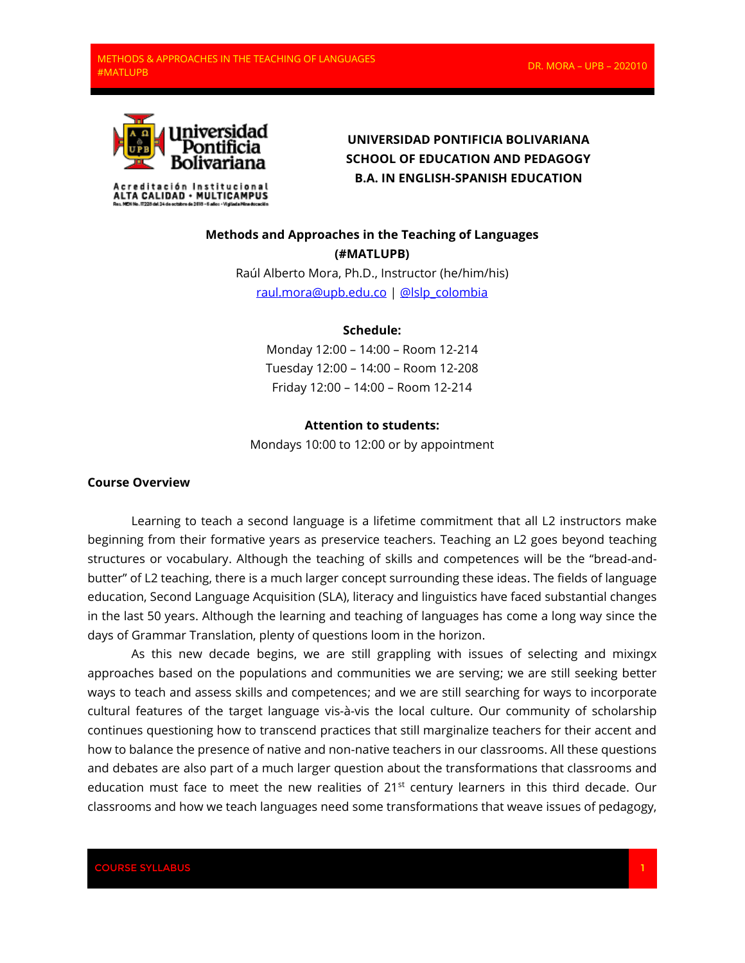

## **UNIVERSIDAD PONTIFICIA BOLIVARIANA SCHOOL OF EDUCATION AND PEDAGOGY B.A. IN ENGLISH-SPANISH EDUCATION**

# **Methods and Approaches in the Teaching of Languages (#MATLUPB)**

Raúl Alberto Mora, Ph.D., Instructor (he/him/his) [raul.mora@upb.edu.co](mailto:raul.mora@upb.edu.co) | [@lslp\\_colombia](file:///D:/Dropbox/C%20El%20Patron)

## **Schedule:**

Monday 12:00 – 14:00 – Room 12-214 Tuesday 12:00 – 14:00 – Room 12-208 Friday 12:00 – 14:00 – Room 12-214

#### **Attention to students:**

Mondays 10:00 to 12:00 or by appointment

## **Course Overview**

Learning to teach a second language is a lifetime commitment that all L2 instructors make beginning from their formative years as preservice teachers. Teaching an L2 goes beyond teaching structures or vocabulary. Although the teaching of skills and competences will be the "bread-andbutter" of L2 teaching, there is a much larger concept surrounding these ideas. The fields of language education, Second Language Acquisition (SLA), literacy and linguistics have faced substantial changes in the last 50 years. Although the learning and teaching of languages has come a long way since the days of Grammar Translation, plenty of questions loom in the horizon.

As this new decade begins, we are still grappling with issues of selecting and mixingx approaches based on the populations and communities we are serving; we are still seeking better ways to teach and assess skills and competences; and we are still searching for ways to incorporate cultural features of the target language vis-à-vis the local culture. Our community of scholarship continues questioning how to transcend practices that still marginalize teachers for their accent and how to balance the presence of native and non-native teachers in our classrooms. All these questions and debates are also part of a much larger question about the transformations that classrooms and education must face to meet the new realities of  $21<sup>st</sup>$  century learners in this third decade. Our classrooms and how we teach languages need some transformations that weave issues of pedagogy,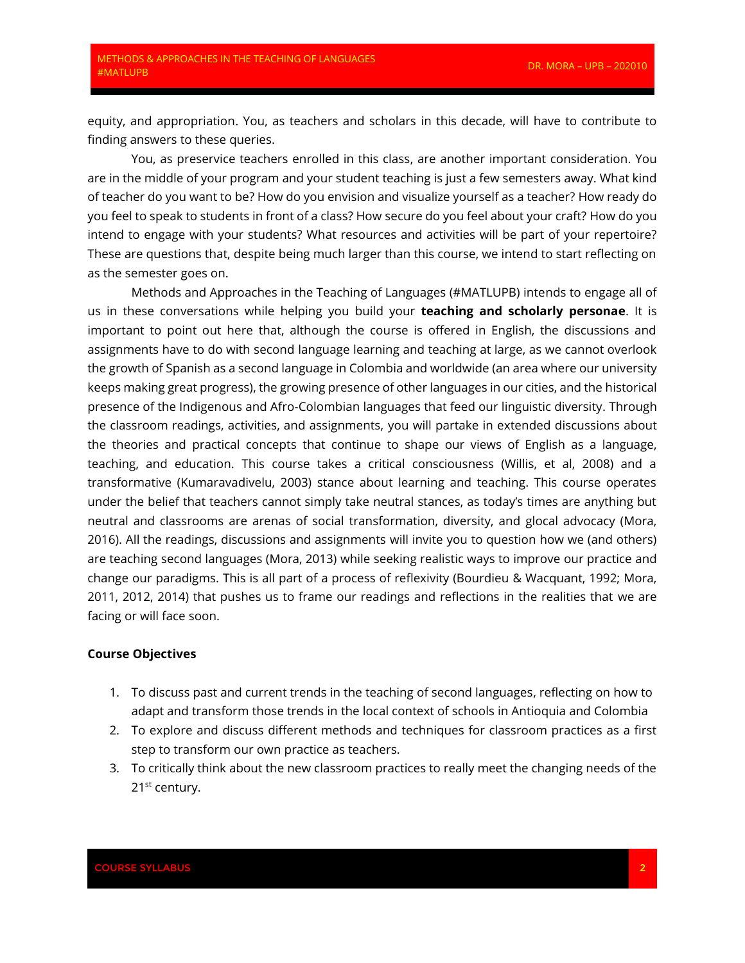equity, and appropriation. You, as teachers and scholars in this decade, will have to contribute to finding answers to these queries.

You, as preservice teachers enrolled in this class, are another important consideration. You are in the middle of your program and your student teaching is just a few semesters away. What kind of teacher do you want to be? How do you envision and visualize yourself as a teacher? How ready do you feel to speak to students in front of a class? How secure do you feel about your craft? How do you intend to engage with your students? What resources and activities will be part of your repertoire? These are questions that, despite being much larger than this course, we intend to start reflecting on as the semester goes on.

Methods and Approaches in the Teaching of Languages (#MATLUPB) intends to engage all of us in these conversations while helping you build your **teaching and scholarly personae**. It is important to point out here that, although the course is offered in English, the discussions and assignments have to do with second language learning and teaching at large, as we cannot overlook the growth of Spanish as a second language in Colombia and worldwide (an area where our university keeps making great progress), the growing presence of other languages in our cities, and the historical presence of the Indigenous and Afro-Colombian languages that feed our linguistic diversity. Through the classroom readings, activities, and assignments, you will partake in extended discussions about the theories and practical concepts that continue to shape our views of English as a language, teaching, and education. This course takes a critical consciousness (Willis, et al, 2008) and a transformative (Kumaravadivelu, 2003) stance about learning and teaching. This course operates under the belief that teachers cannot simply take neutral stances, as today's times are anything but neutral and classrooms are arenas of social transformation, diversity, and glocal advocacy (Mora, 2016). All the readings, discussions and assignments will invite you to question how we (and others) are teaching second languages (Mora, 2013) while seeking realistic ways to improve our practice and change our paradigms. This is all part of a process of reflexivity (Bourdieu & Wacquant, 1992; Mora, 2011, 2012, 2014) that pushes us to frame our readings and reflections in the realities that we are facing or will face soon.

#### **Course Objectives**

- 1. To discuss past and current trends in the teaching of second languages, reflecting on how to adapt and transform those trends in the local context of schools in Antioquia and Colombia
- 2. To explore and discuss different methods and techniques for classroom practices as a first step to transform our own practice as teachers.
- 3. To critically think about the new classroom practices to really meet the changing needs of the 21<sup>st</sup> century.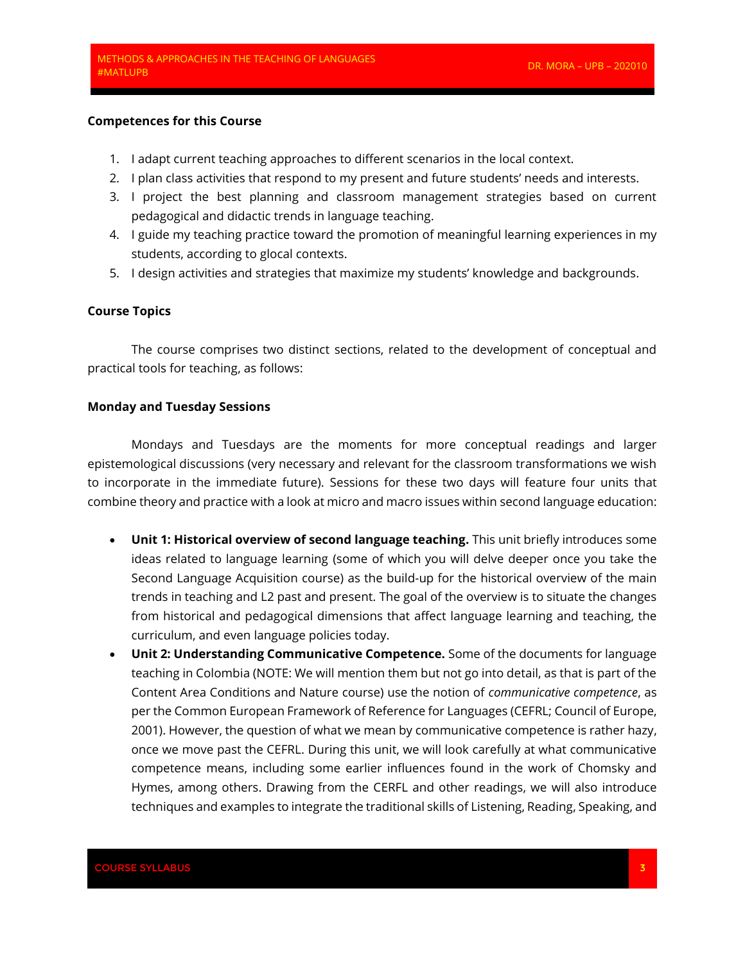#### **Competences for this Course**

- 1. I adapt current teaching approaches to different scenarios in the local context.
- 2. I plan class activities that respond to my present and future students' needs and interests.
- 3. I project the best planning and classroom management strategies based on current pedagogical and didactic trends in language teaching.
- 4. I guide my teaching practice toward the promotion of meaningful learning experiences in my students, according to glocal contexts.
- 5. I design activities and strategies that maximize my students' knowledge and backgrounds.

#### **Course Topics**

The course comprises two distinct sections, related to the development of conceptual and practical tools for teaching, as follows:

#### **Monday and Tuesday Sessions**

Mondays and Tuesdays are the moments for more conceptual readings and larger epistemological discussions (very necessary and relevant for the classroom transformations we wish to incorporate in the immediate future). Sessions for these two days will feature four units that combine theory and practice with a look at micro and macro issues within second language education:

- **Unit 1: Historical overview of second language teaching.** This unit briefly introduces some ideas related to language learning (some of which you will delve deeper once you take the Second Language Acquisition course) as the build-up for the historical overview of the main trends in teaching and L2 past and present. The goal of the overview is to situate the changes from historical and pedagogical dimensions that affect language learning and teaching, the curriculum, and even language policies today.
- **Unit 2: Understanding Communicative Competence.** Some of the documents for language teaching in Colombia (NOTE: We will mention them but not go into detail, as that is part of the Content Area Conditions and Nature course) use the notion of *communicative competence*, as per the Common European Framework of Reference for Languages (CEFRL; Council of Europe, 2001). However, the question of what we mean by communicative competence is rather hazy, once we move past the CEFRL. During this unit, we will look carefully at what communicative competence means, including some earlier influences found in the work of Chomsky and Hymes, among others. Drawing from the CERFL and other readings, we will also introduce techniques and examples to integrate the traditional skills of Listening, Reading, Speaking, and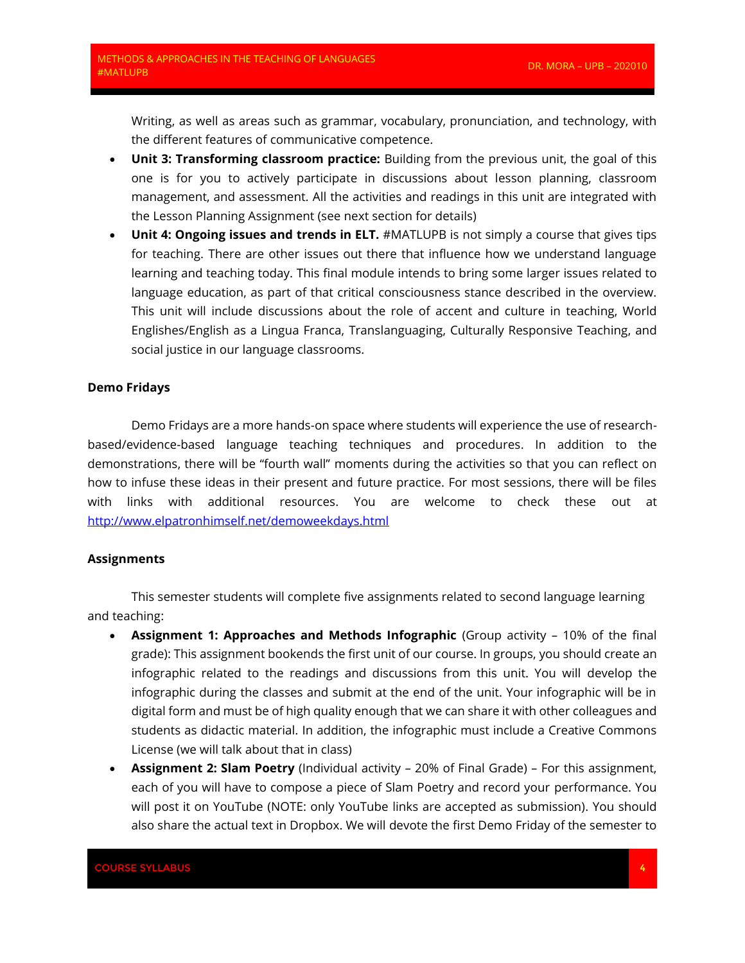Writing, as well as areas such as grammar, vocabulary, pronunciation, and technology, with the different features of communicative competence.

- **Unit 3: Transforming classroom practice:** Building from the previous unit, the goal of this one is for you to actively participate in discussions about lesson planning, classroom management, and assessment. All the activities and readings in this unit are integrated with the Lesson Planning Assignment (see next section for details)
- **Unit 4: Ongoing issues and trends in ELT.** #MATLUPB is not simply a course that gives tips for teaching. There are other issues out there that influence how we understand language learning and teaching today. This final module intends to bring some larger issues related to language education, as part of that critical consciousness stance described in the overview. This unit will include discussions about the role of accent and culture in teaching, World Englishes/English as a Lingua Franca, Translanguaging, Culturally Responsive Teaching, and social justice in our language classrooms.

#### **Demo Fridays**

Demo Fridays are a more hands-on space where students will experience the use of researchbased/evidence-based language teaching techniques and procedures. In addition to the demonstrations, there will be "fourth wall" moments during the activities so that you can reflect on how to infuse these ideas in their present and future practice. For most sessions, there will be files with links with additional resources. You are welcome to check these out at <http://www.elpatronhimself.net/demoweekdays.html>

#### **Assignments**

This semester students will complete five assignments related to second language learning and teaching:

- **Assignment 1: Approaches and Methods Infographic** (Group activity 10% of the final grade): This assignment bookends the first unit of our course. In groups, you should create an infographic related to the readings and discussions from this unit. You will develop the infographic during the classes and submit at the end of the unit. Your infographic will be in digital form and must be of high quality enough that we can share it with other colleagues and students as didactic material. In addition, the infographic must include a Creative Commons License (we will talk about that in class)
- **Assignment 2: Slam Poetry** (Individual activity 20% of Final Grade) For this assignment, each of you will have to compose a piece of Slam Poetry and record your performance. You will post it on YouTube (NOTE: only YouTube links are accepted as submission). You should also share the actual text in Dropbox. We will devote the first Demo Friday of the semester to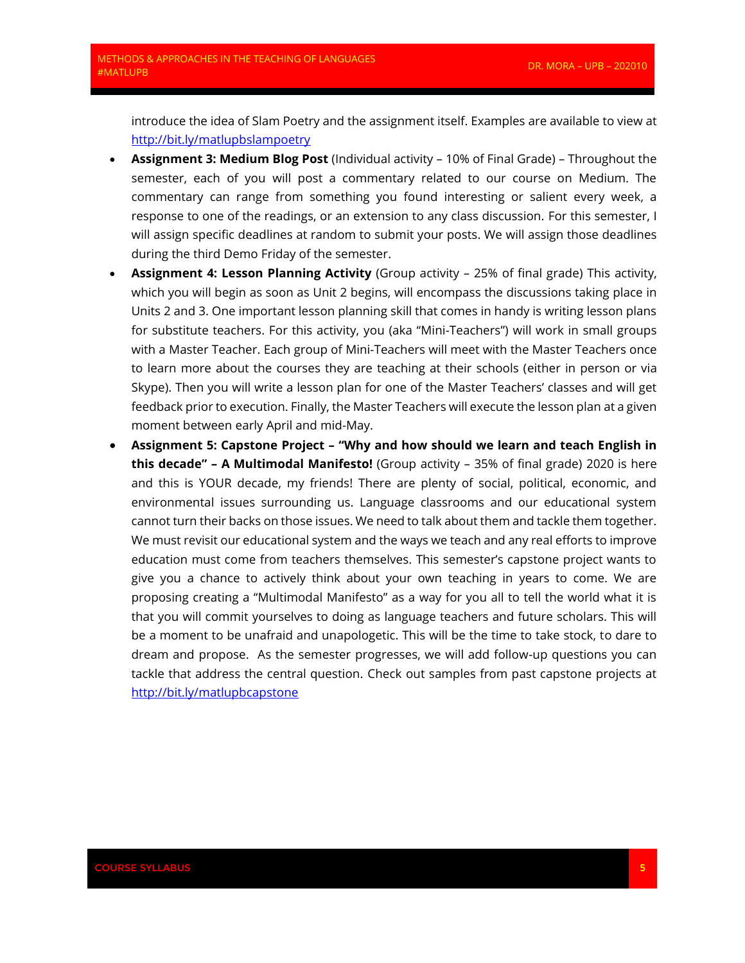introduce the idea of Slam Poetry and the assignment itself. Examples are available to view at <http://bit.ly/matlupbslampoetry>

- **Assignment 3: Medium Blog Post** (Individual activity 10% of Final Grade) Throughout the semester, each of you will post a commentary related to our course on Medium. The commentary can range from something you found interesting or salient every week, a response to one of the readings, or an extension to any class discussion. For this semester, I will assign specific deadlines at random to submit your posts. We will assign those deadlines during the third Demo Friday of the semester.
- **Assignment 4: Lesson Planning Activity** (Group activity 25% of final grade) This activity, which you will begin as soon as Unit 2 begins, will encompass the discussions taking place in Units 2 and 3. One important lesson planning skill that comes in handy is writing lesson plans for substitute teachers. For this activity, you (aka "Mini-Teachers") will work in small groups with a Master Teacher. Each group of Mini-Teachers will meet with the Master Teachers once to learn more about the courses they are teaching at their schools (either in person or via Skype). Then you will write a lesson plan for one of the Master Teachers' classes and will get feedback prior to execution. Finally, the Master Teachers will execute the lesson plan at a given moment between early April and mid-May.
- **Assignment 5: Capstone Project – "Why and how should we learn and teach English in this decade" – A Multimodal Manifesto!** (Group activity – 35% of final grade) 2020 is here and this is YOUR decade, my friends! There are plenty of social, political, economic, and environmental issues surrounding us. Language classrooms and our educational system cannot turn their backs on those issues. We need to talk about them and tackle them together. We must revisit our educational system and the ways we teach and any real efforts to improve education must come from teachers themselves. This semester's capstone project wants to give you a chance to actively think about your own teaching in years to come. We are proposing creating a "Multimodal Manifesto" as a way for you all to tell the world what it is that you will commit yourselves to doing as language teachers and future scholars. This will be a moment to be unafraid and unapologetic. This will be the time to take stock, to dare to dream and propose. As the semester progresses, we will add follow-up questions you can tackle that address the central question. Check out samples from past capstone projects at <http://bit.ly/matlupbcapstone>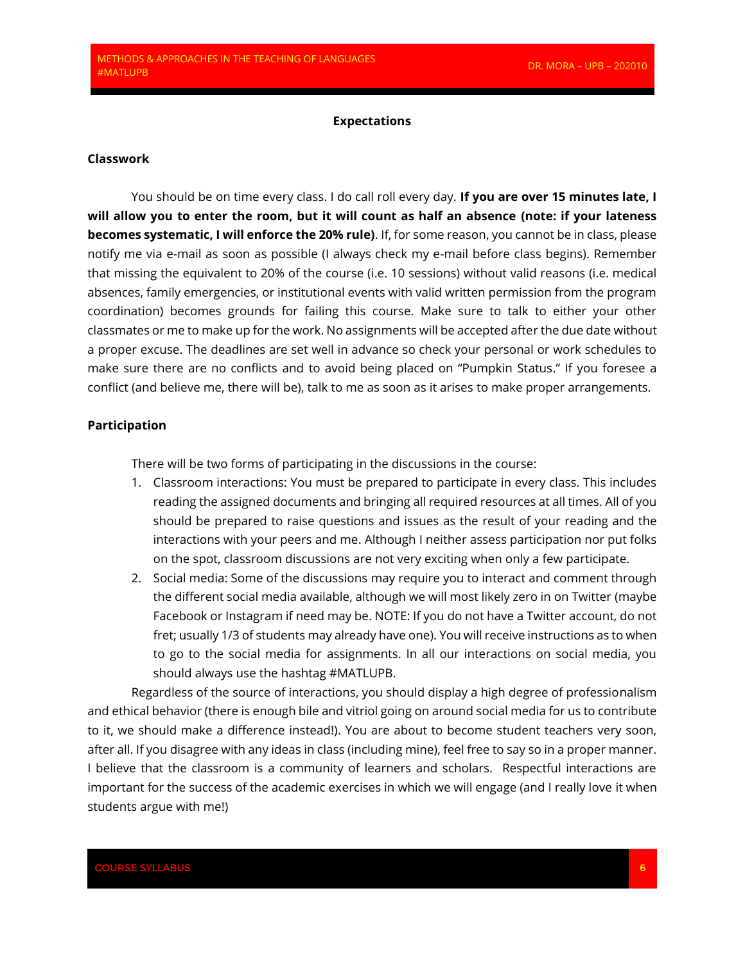#### **Expectations**

#### **Classwork**

You should be on time every class. I do call roll every day. **If you are over 15 minutes late, I will allow you to enter the room, but it will count as half an absence (note: if your lateness becomes systematic, I will enforce the 20% rule)**. If, for some reason, you cannot be in class, please notify me via e-mail as soon as possible (I always check my e-mail before class begins). Remember that missing the equivalent to 20% of the course (i.e. 10 sessions) without valid reasons (i.e. medical absences, family emergencies, or institutional events with valid written permission from the program coordination) becomes grounds for failing this course. Make sure to talk to either your other classmates or me to make up for the work. No assignments will be accepted after the due date without a proper excuse. The deadlines are set well in advance so check your personal or work schedules to make sure there are no conflicts and to avoid being placed on "Pumpkin Status." If you foresee a conflict (and believe me, there will be), talk to me as soon as it arises to make proper arrangements.

## **Participation**

There will be two forms of participating in the discussions in the course:

- 1. Classroom interactions: You must be prepared to participate in every class. This includes reading the assigned documents and bringing all required resources at all times. All of you should be prepared to raise questions and issues as the result of your reading and the interactions with your peers and me. Although I neither assess participation nor put folks on the spot, classroom discussions are not very exciting when only a few participate.
- 2. Social media: Some of the discussions may require you to interact and comment through the different social media available, although we will most likely zero in on Twitter (maybe Facebook or Instagram if need may be. NOTE: If you do not have a Twitter account, do not fret; usually 1/3 of students may already have one). You will receive instructions as to when to go to the social media for assignments. In all our interactions on social media, you should always use the hashtag #MATLUPB.

Regardless of the source of interactions, you should display a high degree of professionalism and ethical behavior (there is enough bile and vitriol going on around social media for us to contribute to it, we should make a difference instead!). You are about to become student teachers very soon, after all. If you disagree with any ideas in class (including mine), feel free to say so in a proper manner. I believe that the classroom is a community of learners and scholars. Respectful interactions are important for the success of the academic exercises in which we will engage (and I really love it when students argue with me!)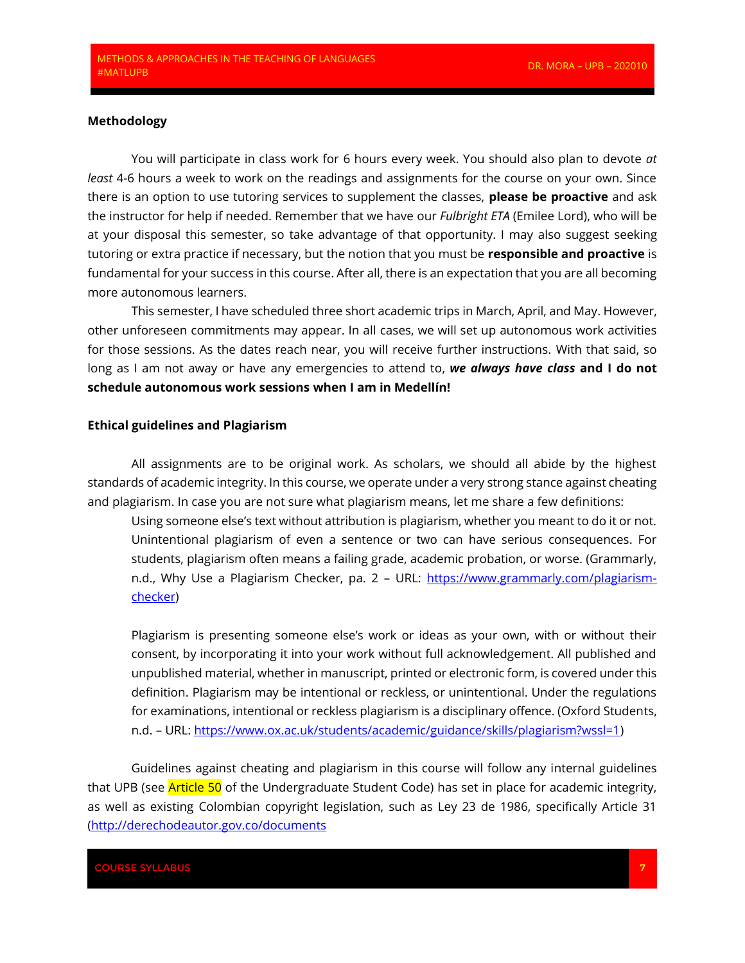## **Methodology**

You will participate in class work for 6 hours every week. You should also plan to devote *at least* 4-6 hours a week to work on the readings and assignments for the course on your own. Since there is an option to use tutoring services to supplement the classes, **please be proactive** and ask the instructor for help if needed. Remember that we have our *Fulbright ETA* (Emilee Lord), who will be at your disposal this semester, so take advantage of that opportunity. I may also suggest seeking tutoring or extra practice if necessary, but the notion that you must be **responsible and proactive** is fundamental for your success in this course. After all, there is an expectation that you are all becoming more autonomous learners.

This semester, I have scheduled three short academic trips in March, April, and May. However, other unforeseen commitments may appear. In all cases, we will set up autonomous work activities for those sessions. As the dates reach near, you will receive further instructions. With that said, so long as I am not away or have any emergencies to attend to, *we always have class* **and I do not schedule autonomous work sessions when I am in Medellín!**

#### **Ethical guidelines and Plagiarism**

All assignments are to be original work. As scholars, we should all abide by the highest standards of academic integrity. In this course, we operate under a very strong stance against cheating and plagiarism. In case you are not sure what plagiarism means, let me share a few definitions:

Using someone else's text without attribution is plagiarism, whether you meant to do it or not. Unintentional plagiarism of even a sentence or two can have serious consequences. For students, plagiarism often means a failing grade, academic probation, or worse. (Grammarly, n.d., Why Use a Plagiarism Checker, pa. 2 - URL: [https://www.grammarly.com/plagiarism](https://www.grammarly.com/plagiarism-checker)[checker\)](https://www.grammarly.com/plagiarism-checker)

Plagiarism is presenting someone else's work or ideas as your own, with or without their consent, by incorporating it into your work without full acknowledgement. All published and unpublished material, whether in manuscript, printed or electronic form, is covered under this definition. Plagiarism may be intentional or reckless, or unintentional. Under the regulations for examinations, intentional or reckless plagiarism is a disciplinary offence. (Oxford Students, n.d. – URL: [https://www.ox.ac.uk/students/academic/guidance/skills/plagiarism?wssl=1\)](https://www.ox.ac.uk/students/academic/guidance/skills/plagiarism?wssl=1)

Guidelines against cheating and plagiarism in this course will follow any internal guidelines that UPB (see **Article 50** of the Undergraduate Student Code) has set in place for academic integrity, as well as existing Colombian copyright legislation, such as Ley 23 de 1986, specifically Article 31 [\(http://derechodeautor.gov.co/documents](http://derechodeautor.gov.co/documents/10181/182597/23.pdf/a97b8750-8451-4529-ab87-bb82160dd226)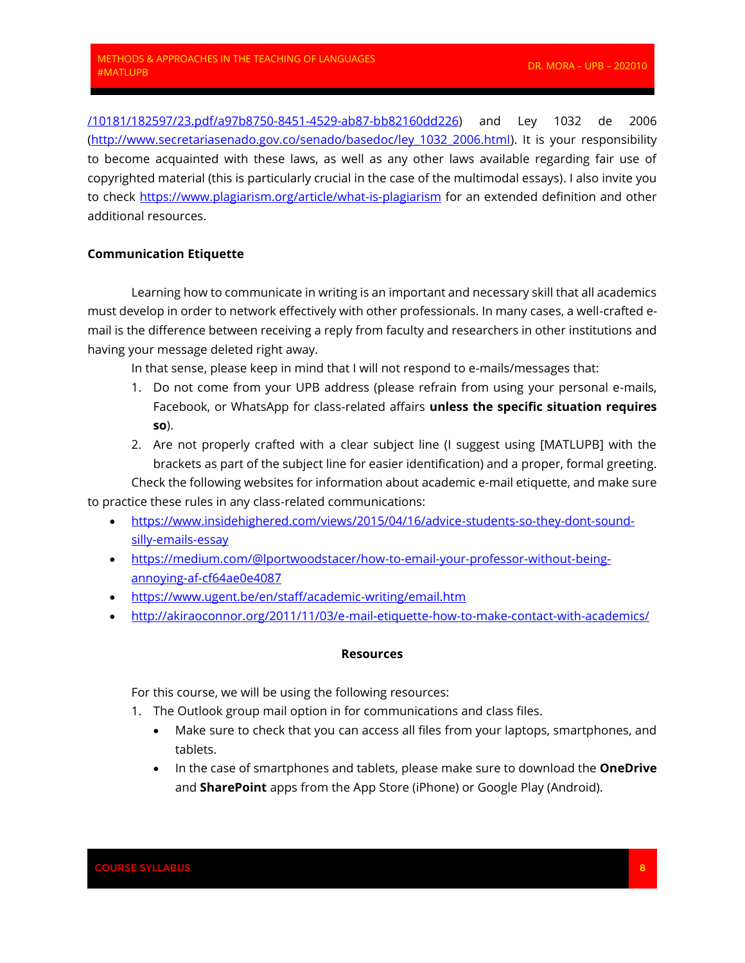[/10181/182597/23.pdf/a97b8750-8451-4529-ab87-bb82160dd226\)](http://derechodeautor.gov.co/documents/10181/182597/23.pdf/a97b8750-8451-4529-ab87-bb82160dd226) and Ley 1032 de 2006 [\(http://www.secretariasenado.gov.co/senado/basedoc/ley\\_1032\\_2006.html\)](http://www.secretariasenado.gov.co/senado/basedoc/ley_1032_2006.html). It is your responsibility to become acquainted with these laws, as well as any other laws available regarding fair use of copyrighted material (this is particularly crucial in the case of the multimodal essays). I also invite you to check<https://www.plagiarism.org/article/what-is-plagiarism> for an extended definition and other additional resources.

## **Communication Etiquette**

Learning how to communicate in writing is an important and necessary skill that all academics must develop in order to network effectively with other professionals. In many cases, a well-crafted email is the difference between receiving a reply from faculty and researchers in other institutions and having your message deleted right away.

In that sense, please keep in mind that I will not respond to e-mails/messages that:

- 1. Do not come from your UPB address (please refrain from using your personal e-mails, Facebook, or WhatsApp for class-related affairs **unless the specific situation requires so**).
- 2. Are not properly crafted with a clear subject line (I suggest using [MATLUPB] with the brackets as part of the subject line for easier identification) and a proper, formal greeting.

Check the following websites for information about academic e-mail etiquette, and make sure to practice these rules in any class-related communications:

- [https://www.insidehighered.com/views/2015/04/16/advice-students-so-they-dont-sound](https://www.insidehighered.com/views/2015/04/16/advice-students-so-they-dont-sound-silly-emails-essay)[silly-emails-essay](https://www.insidehighered.com/views/2015/04/16/advice-students-so-they-dont-sound-silly-emails-essay)
- [https://medium.com/@lportwoodstacer/how-to-email-your-professor-without-being](https://medium.com/@lportwoodstacer/how-to-email-your-professor-without-being-annoying-af-cf64ae0e4087)[annoying-af-cf64ae0e4087](https://medium.com/@lportwoodstacer/how-to-email-your-professor-without-being-annoying-af-cf64ae0e4087)
- <https://www.ugent.be/en/staff/academic-writing/email.htm>
- <http://akiraoconnor.org/2011/11/03/e-mail-etiquette-how-to-make-contact-with-academics/>

#### **Resources**

For this course, we will be using the following resources:

- 1. The Outlook group mail option in for communications and class files.
	- Make sure to check that you can access all files from your laptops, smartphones, and tablets.
	- In the case of smartphones and tablets, please make sure to download the **OneDrive** and **SharePoint** apps from the App Store (iPhone) or Google Play (Android).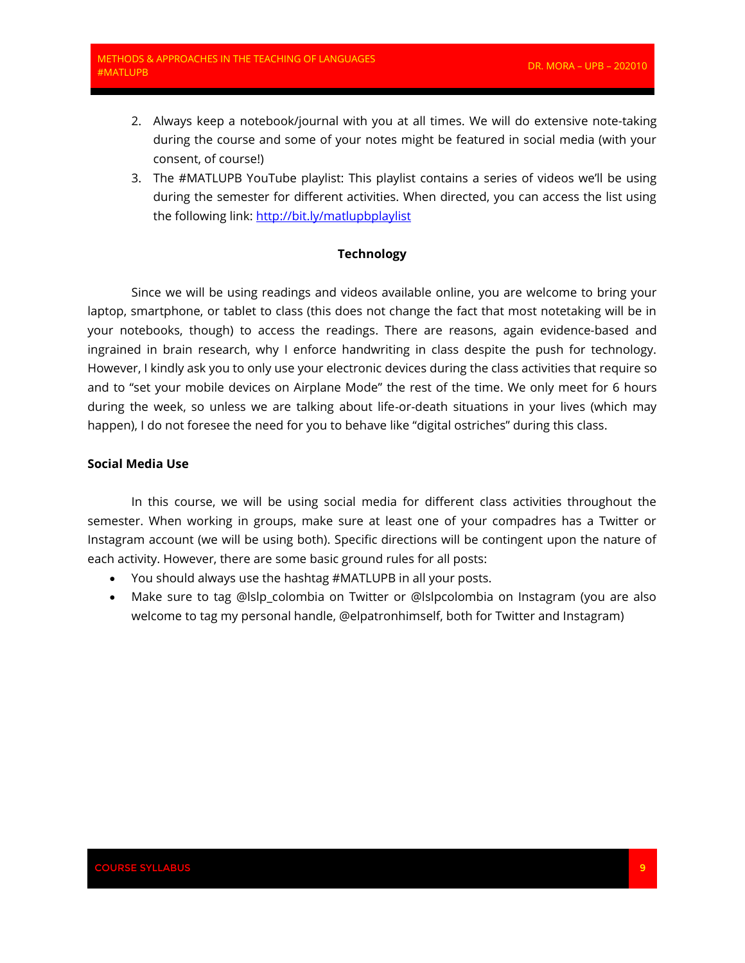- 2. Always keep a notebook/journal with you at all times. We will do extensive note-taking during the course and some of your notes might be featured in social media (with your consent, of course!)
- 3. The #MATLUPB YouTube playlist: This playlist contains a series of videos we'll be using during the semester for different activities. When directed, you can access the list using the following link: <http://bit.ly/matlupbplaylist>

## **Technology**

Since we will be using readings and videos available online, you are welcome to bring your laptop, smartphone, or tablet to class (this does not change the fact that most notetaking will be in your notebooks, though) to access the readings. There are reasons, again evidence-based and ingrained in brain research, why I enforce handwriting in class despite the push for technology. However, I kindly ask you to only use your electronic devices during the class activities that require so and to "set your mobile devices on Airplane Mode" the rest of the time. We only meet for 6 hours during the week, so unless we are talking about life-or-death situations in your lives (which may happen), I do not foresee the need for you to behave like "digital ostriches" during this class.

## **Social Media Use**

In this course, we will be using social media for different class activities throughout the semester. When working in groups, make sure at least one of your compadres has a Twitter or Instagram account (we will be using both). Specific directions will be contingent upon the nature of each activity. However, there are some basic ground rules for all posts:

- You should always use the hashtag #MATLUPB in all your posts.
- Make sure to tag @lslp\_colombia on Twitter or @lslpcolombia on Instagram (you are also welcome to tag my personal handle, @elpatronhimself, both for Twitter and Instagram)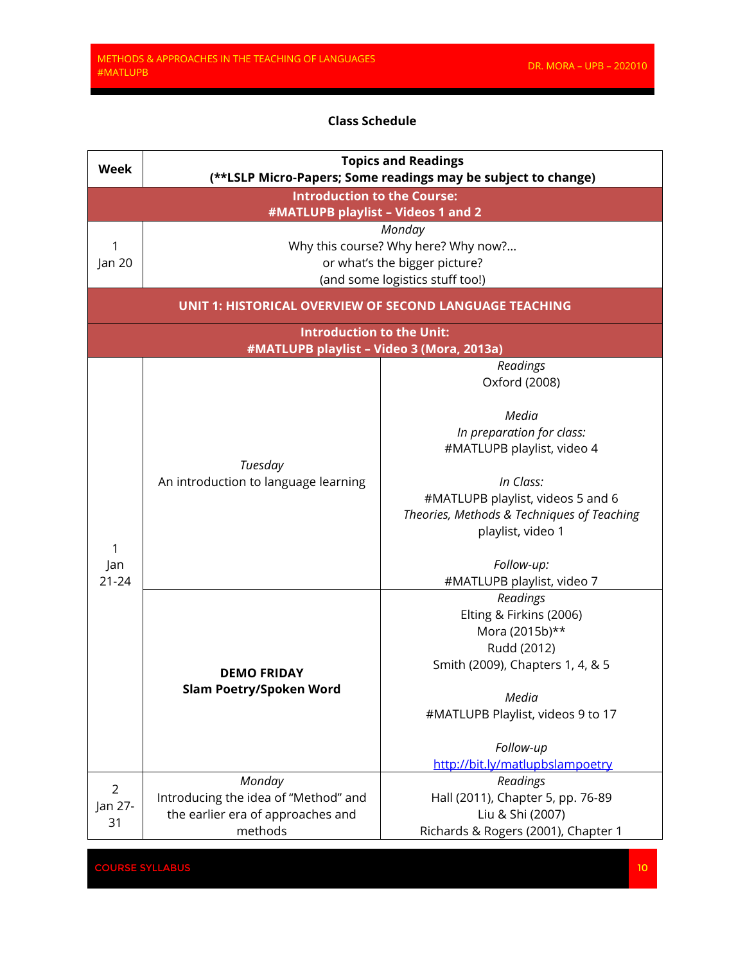## **Class Schedule**

| <b>Week</b>                                                              |                                                                | <b>Topics and Readings</b><br>(**LSLP Micro-Papers; Some readings may be subject to change) |
|--------------------------------------------------------------------------|----------------------------------------------------------------|---------------------------------------------------------------------------------------------|
| <b>Introduction to the Course:</b><br>#MATLUPB playlist - Videos 1 and 2 |                                                                |                                                                                             |
|                                                                          |                                                                | Monday                                                                                      |
| 1                                                                        |                                                                | Why this course? Why here? Why now?                                                         |
| Jan 20                                                                   |                                                                | or what's the bigger picture?                                                               |
|                                                                          |                                                                | (and some logistics stuff too!)                                                             |
|                                                                          | <b>UNIT 1: HISTORICAL OVERVIEW OF SECOND LANGUAGE TEACHING</b> |                                                                                             |
|                                                                          | <b>Introduction to the Unit:</b>                               |                                                                                             |
|                                                                          | #MATLUPB playlist - Video 3 (Mora, 2013a)                      |                                                                                             |
|                                                                          |                                                                | Readings                                                                                    |
|                                                                          |                                                                | Oxford (2008)                                                                               |
|                                                                          |                                                                | Media                                                                                       |
|                                                                          |                                                                | In preparation for class:                                                                   |
|                                                                          |                                                                | #MATLUPB playlist, video 4                                                                  |
|                                                                          | Tuesday<br>An introduction to language learning                |                                                                                             |
|                                                                          |                                                                | In Class:                                                                                   |
|                                                                          |                                                                | #MATLUPB playlist, videos 5 and 6                                                           |
|                                                                          |                                                                | Theories, Methods & Techniques of Teaching                                                  |
|                                                                          |                                                                | playlist, video 1                                                                           |
| 1                                                                        |                                                                |                                                                                             |
| Jan                                                                      |                                                                | Follow-up:                                                                                  |
| $21 - 24$                                                                |                                                                | #MATLUPB playlist, video 7                                                                  |
|                                                                          |                                                                | Readings                                                                                    |
|                                                                          |                                                                | Elting & Firkins (2006)                                                                     |
|                                                                          |                                                                | Mora (2015b)**                                                                              |
|                                                                          |                                                                | Rudd (2012)                                                                                 |
|                                                                          | <b>DEMO FRIDAY</b>                                             | Smith (2009), Chapters 1, 4, & 5                                                            |
|                                                                          | <b>Slam Poetry/Spoken Word</b>                                 |                                                                                             |
|                                                                          |                                                                | Media                                                                                       |
|                                                                          |                                                                | #MATLUPB Playlist, videos 9 to 17                                                           |
|                                                                          |                                                                | Follow-up                                                                                   |
|                                                                          |                                                                | http://bit.ly/matlupbslampoetry                                                             |
|                                                                          | Monday                                                         | Readings                                                                                    |
| $\overline{2}$                                                           | Introducing the idea of "Method" and                           | Hall (2011), Chapter 5, pp. 76-89                                                           |
| Jan 27-                                                                  | the earlier era of approaches and                              | Liu & Shi (2007)                                                                            |
| 31                                                                       | methods                                                        | Richards & Rogers (2001), Chapter 1                                                         |

**COURSE SYLLABUS**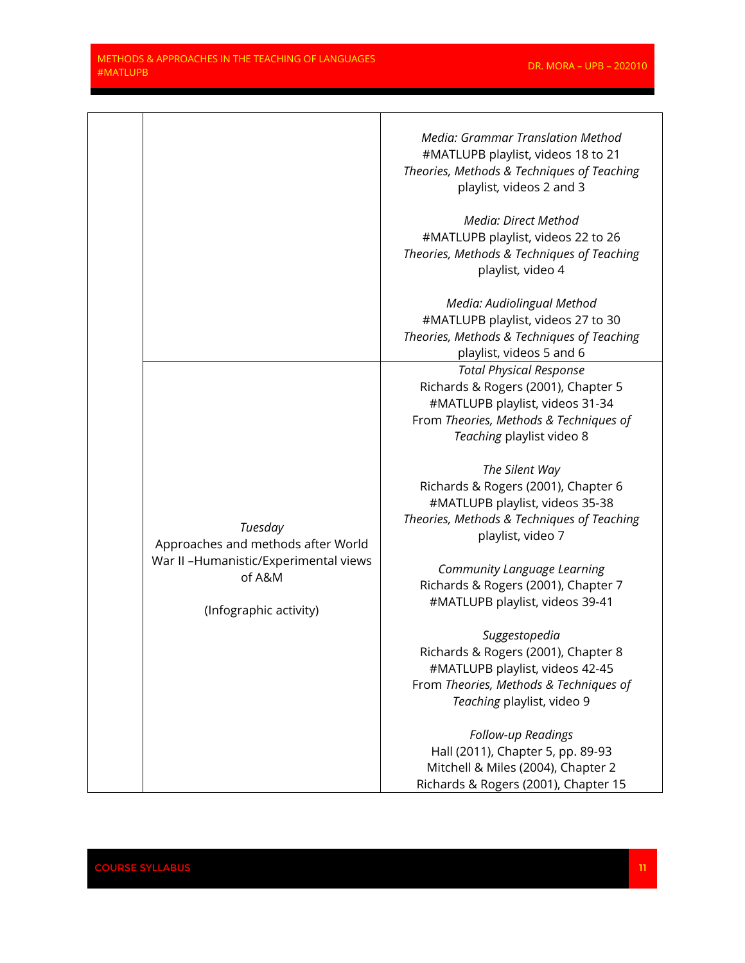|                                                                                         | Media: Grammar Translation Method<br>#MATLUPB playlist, videos 18 to 21<br>Theories, Methods & Techniques of Teaching<br>playlist, videos 2 and 3                               |
|-----------------------------------------------------------------------------------------|---------------------------------------------------------------------------------------------------------------------------------------------------------------------------------|
|                                                                                         | Media: Direct Method<br>#MATLUPB playlist, videos 22 to 26<br>Theories, Methods & Techniques of Teaching<br>playlist, video 4                                                   |
|                                                                                         | Media: Audiolingual Method<br>#MATLUPB playlist, videos 27 to 30<br>Theories, Methods & Techniques of Teaching<br>playlist, videos 5 and 6                                      |
|                                                                                         | <b>Total Physical Response</b><br>Richards & Rogers (2001), Chapter 5<br>#MATLUPB playlist, videos 31-34<br>From Theories, Methods & Techniques of<br>Teaching playlist video 8 |
| Tuesday<br>Approaches and methods after World<br>War II - Humanistic/Experimental views | The Silent Way<br>Richards & Rogers (2001), Chapter 6<br>#MATLUPB playlist, videos 35-38<br>Theories, Methods & Techniques of Teaching<br>playlist, video 7                     |
| of A&M<br>(Infographic activity)                                                        | Community Language Learning<br>Richards & Rogers (2001), Chapter 7<br>#MATLUPB playlist, videos 39-41                                                                           |
|                                                                                         | Suggestopedia<br>Richards & Rogers (2001), Chapter 8<br>#MATLUPB playlist, videos 42-45<br>From Theories, Methods & Techniques of<br>Teaching playlist, video 9                 |
|                                                                                         | Follow-up Readings<br>Hall (2011), Chapter 5, pp. 89-93<br>Mitchell & Miles (2004), Chapter 2<br>Richards & Rogers (2001), Chapter 15                                           |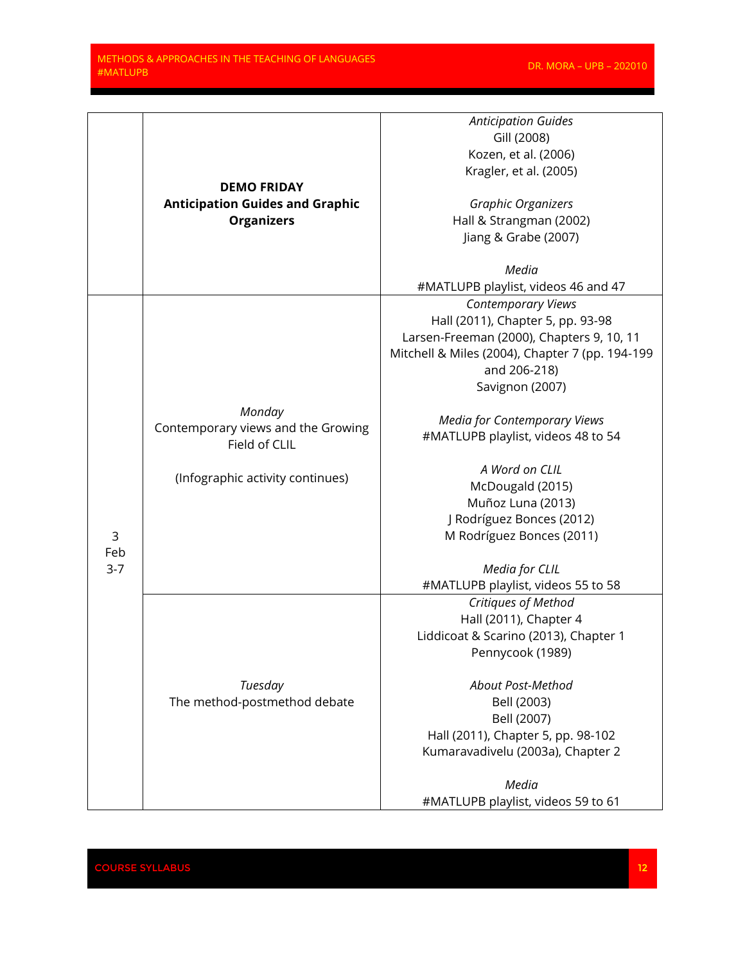|         |                                        | <b>Anticipation Guides</b>                      |
|---------|----------------------------------------|-------------------------------------------------|
|         |                                        | Gill (2008)                                     |
|         |                                        |                                                 |
|         |                                        | Kozen, et al. (2006)                            |
|         |                                        | Kragler, et al. (2005)                          |
|         | <b>DEMO FRIDAY</b>                     |                                                 |
|         | <b>Anticipation Guides and Graphic</b> | Graphic Organizers                              |
|         | <b>Organizers</b>                      | Hall & Strangman (2002)                         |
|         |                                        | Jiang & Grabe (2007)                            |
|         |                                        |                                                 |
|         |                                        | Media                                           |
|         |                                        | #MATLUPB playlist, videos 46 and 47             |
|         |                                        | <b>Contemporary Views</b>                       |
|         |                                        | Hall (2011), Chapter 5, pp. 93-98               |
|         |                                        | Larsen-Freeman (2000), Chapters 9, 10, 11       |
|         |                                        |                                                 |
|         |                                        | Mitchell & Miles (2004), Chapter 7 (pp. 194-199 |
|         |                                        | and 206-218)                                    |
|         |                                        | Savignon (2007)                                 |
|         | Monday                                 |                                                 |
|         |                                        | <b>Media for Contemporary Views</b>             |
|         | Contemporary views and the Growing     | #MATLUPB playlist, videos 48 to 54              |
|         | Field of CLIL                          |                                                 |
|         |                                        | A Word on CLIL                                  |
|         | (Infographic activity continues)       | McDougald (2015)                                |
|         |                                        | Muñoz Luna (2013)                               |
|         |                                        | J Rodríguez Bonces (2012)                       |
| 3       |                                        | M Rodríguez Bonces (2011)                       |
| Feb     |                                        |                                                 |
| $3 - 7$ |                                        | Media for CLIL                                  |
|         |                                        | #MATLUPB playlist, videos 55 to 58              |
|         |                                        | Critiques of Method                             |
|         |                                        | Hall (2011), Chapter 4                          |
|         |                                        |                                                 |
|         |                                        | Liddicoat & Scarino (2013), Chapter 1           |
|         |                                        | Pennycook (1989)                                |
|         |                                        |                                                 |
|         | Tuesday                                | About Post-Method                               |
|         | The method-postmethod debate           | Bell (2003)                                     |
|         |                                        | Bell (2007)                                     |
|         |                                        | Hall (2011), Chapter 5, pp. 98-102              |
|         |                                        | Kumaravadivelu (2003a), Chapter 2               |
|         |                                        |                                                 |
|         |                                        | Media                                           |
|         |                                        | #MATLUPB playlist, videos 59 to 61              |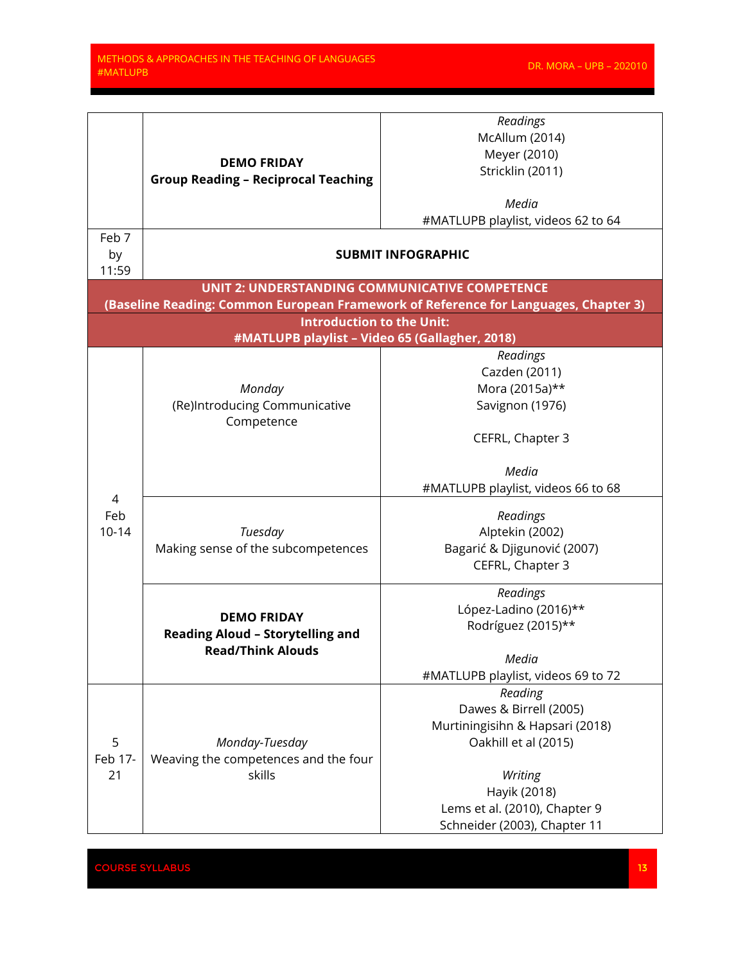<u> Tanzania (</u>

| McAllum (2014)<br>Meyer (2010)<br><b>DEMO FRIDAY</b><br>Stricklin (2011)<br><b>Group Reading - Reciprocal Teaching</b><br>Media<br>#MATLUPB playlist, videos 62 to 64 |
|-----------------------------------------------------------------------------------------------------------------------------------------------------------------------|
|                                                                                                                                                                       |
|                                                                                                                                                                       |
|                                                                                                                                                                       |
|                                                                                                                                                                       |
|                                                                                                                                                                       |
| Feb 7                                                                                                                                                                 |
| by<br><b>SUBMIT INFOGRAPHIC</b>                                                                                                                                       |
| 11:59                                                                                                                                                                 |
| <b>UNIT 2: UNDERSTANDING COMMUNICATIVE COMPETENCE</b>                                                                                                                 |
| (Baseline Reading: Common European Framework of Reference for Languages, Chapter 3)                                                                                   |
| <b>Introduction to the Unit:</b><br>#MATLUPB playlist - Video 65 (Gallagher, 2018)                                                                                    |
| Readings                                                                                                                                                              |
| Cazden (2011)                                                                                                                                                         |
| Mora (2015a)**<br>Monday                                                                                                                                              |
| (Re)Introducing Communicative<br>Savignon (1976)                                                                                                                      |
| Competence                                                                                                                                                            |
| CEFRL, Chapter 3                                                                                                                                                      |
|                                                                                                                                                                       |
| Media                                                                                                                                                                 |
| #MATLUPB playlist, videos 66 to 68                                                                                                                                    |
| 4                                                                                                                                                                     |
| Feb<br>Readings                                                                                                                                                       |
| $10 - 14$<br>Alptekin (2002)<br>Tuesday                                                                                                                               |
| Making sense of the subcompetences<br>Bagarić & Djigunović (2007)                                                                                                     |
| CEFRL, Chapter 3                                                                                                                                                      |
| Readings                                                                                                                                                              |
| López-Ladino (2016)**                                                                                                                                                 |
| <b>DEMO FRIDAY</b><br>Rodríguez (2015)**                                                                                                                              |
| <b>Reading Aloud - Storytelling and</b><br><b>Read/Think Alouds</b>                                                                                                   |
| Media                                                                                                                                                                 |
| #MATLUPB playlist, videos 69 to 72                                                                                                                                    |
| Reading                                                                                                                                                               |
| Dawes & Birrell (2005)                                                                                                                                                |
| Murtiningisihn & Hapsari (2018)                                                                                                                                       |
| 5<br>Oakhill et al (2015)<br>Monday-Tuesday                                                                                                                           |
| Feb 17-<br>Weaving the competences and the four                                                                                                                       |
| skills<br>21<br>Writing                                                                                                                                               |
| Hayik (2018)                                                                                                                                                          |
| Lems et al. (2010), Chapter 9                                                                                                                                         |
| Schneider (2003), Chapter 11                                                                                                                                          |

EXPLINE SYLLABUS DE L'ORIGINALE DE L'ORIGINALE DE L'ORIGINALE DE L'ORIGINALE DE L'ORIGINALE DE L'ORIGINALE DE<br>DE L'ORIGINALE DE L'ORIGINALE DE L'ORIGINALE DE L'ORIGINALE DE L'ORIGINALE DE L'ORIGINALE DE L'ORIGINALE DE L'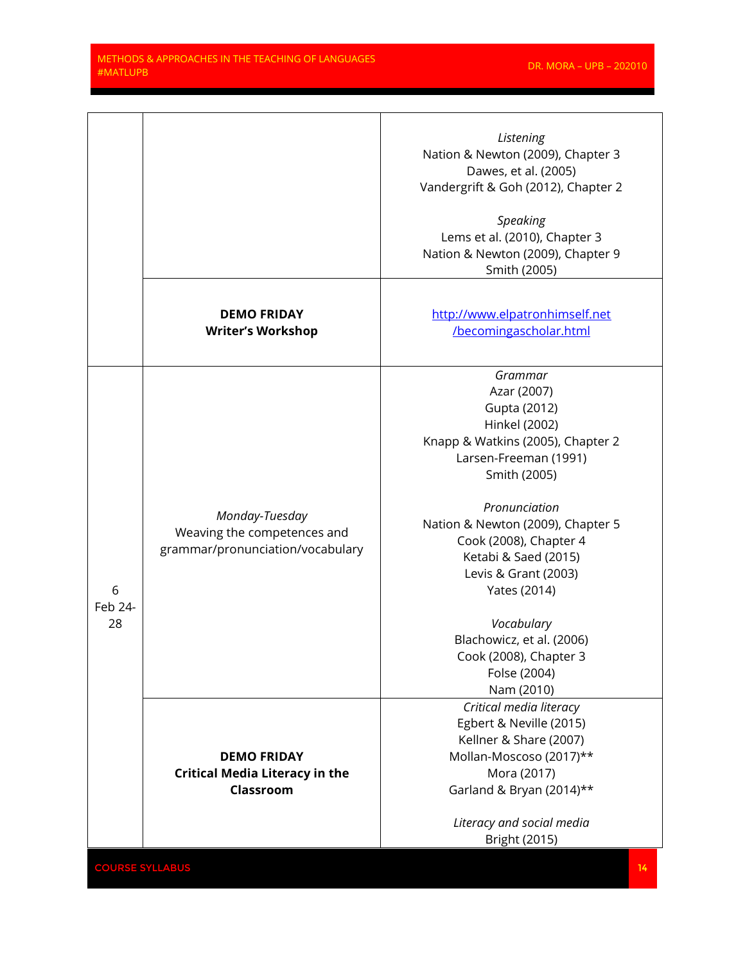<u> Tanzania de la provincia de la provincia de la provincia de la provincia de la provincia de la provincia de</u>

|                    |                                                                                   | Listening<br>Nation & Newton (2009), Chapter 3<br>Dawes, et al. (2005)<br>Vandergrift & Goh (2012), Chapter 2<br>Speaking<br>Lems et al. (2010), Chapter 3<br>Nation & Newton (2009), Chapter 9<br>Smith (2005)                                                                                                                                                                          |
|--------------------|-----------------------------------------------------------------------------------|------------------------------------------------------------------------------------------------------------------------------------------------------------------------------------------------------------------------------------------------------------------------------------------------------------------------------------------------------------------------------------------|
|                    | <b>DEMO FRIDAY</b><br><b>Writer's Workshop</b>                                    | http://www.elpatronhimself.net<br>/becomingascholar.html                                                                                                                                                                                                                                                                                                                                 |
| 6<br>Feb 24-<br>28 | Monday-Tuesday<br>Weaving the competences and<br>grammar/pronunciation/vocabulary | Grammar<br>Azar (2007)<br>Gupta (2012)<br>Hinkel (2002)<br>Knapp & Watkins (2005), Chapter 2<br>Larsen-Freeman (1991)<br>Smith (2005)<br>Pronunciation<br>Nation & Newton (2009), Chapter 5<br>Cook (2008), Chapter 4<br>Ketabi & Saed (2015)<br>Levis & Grant (2003)<br>Yates (2014)<br>Vocabulary<br>Blachowicz, et al. (2006)<br>Cook (2008), Chapter 3<br>Folse (2004)<br>Nam (2010) |
|                    | <b>DEMO FRIDAY</b><br><b>Critical Media Literacy in the</b><br>Classroom          | Critical media literacy<br>Egbert & Neville (2015)<br>Kellner & Share (2007)<br>Mollan-Moscoso (2017)**<br>Mora (2017)<br>Garland & Bryan (2014)**<br>Literacy and social media<br>Bright (2015)                                                                                                                                                                                         |

**COURSE SYLLABUS 14**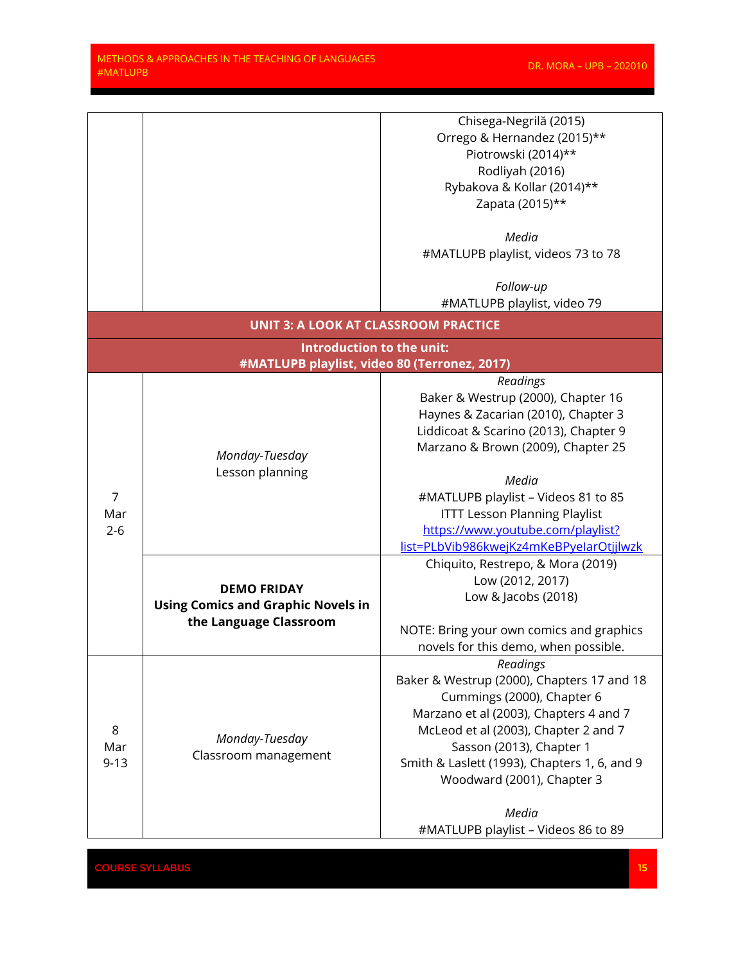and the control

|                            |                                              | Chisega-Negrilă (2015)                       |
|----------------------------|----------------------------------------------|----------------------------------------------|
|                            |                                              | Orrego & Hernandez (2015)**                  |
|                            |                                              |                                              |
|                            |                                              | Piotrowski (2014)**                          |
|                            |                                              | Rodliyah (2016)                              |
|                            |                                              | Rybakova & Kollar (2014)**                   |
|                            |                                              | Zapata (2015)**                              |
|                            |                                              | Media                                        |
|                            |                                              | #MATLUPB playlist, videos 73 to 78           |
|                            |                                              |                                              |
|                            |                                              | Follow-up                                    |
|                            |                                              | #MATLUPB playlist, video 79                  |
|                            | <b>UNIT 3: A LOOK AT CLASSROOM PRACTICE</b>  |                                              |
|                            | Introduction to the unit:                    |                                              |
|                            | #MATLUPB playlist, video 80 (Terronez, 2017) |                                              |
|                            |                                              | Readings                                     |
|                            |                                              | Baker & Westrup (2000), Chapter 16           |
|                            |                                              | Haynes & Zacarian (2010), Chapter 3          |
|                            |                                              | Liddicoat & Scarino (2013), Chapter 9        |
|                            |                                              | Marzano & Brown (2009), Chapter 25           |
|                            | Monday-Tuesday                               |                                              |
|                            | Lesson planning                              | Media                                        |
| $\overline{7}$             |                                              |                                              |
|                            |                                              | #MATLUPB playlist - Videos 81 to 85          |
| Mar                        |                                              | <b>ITTT Lesson Planning Playlist</b>         |
| $2 - 6$                    |                                              | https://www.youtube.com/playlist?            |
|                            |                                              | list=PLbVib986kwejKz4mKeBPyelarOtjjlwzk      |
|                            |                                              | Chiquito, Restrepo, & Mora (2019)            |
|                            | <b>DEMO FRIDAY</b>                           | Low (2012, 2017)                             |
|                            |                                              | Low & Jacobs (2018)                          |
|                            | <b>Using Comics and Graphic Novels in</b>    |                                              |
|                            | the Language Classroom                       | NOTE: Bring your own comics and graphics     |
|                            |                                              | novels for this demo, when possible.         |
|                            |                                              | Readings                                     |
|                            |                                              | Baker & Westrup (2000), Chapters 17 and 18   |
| $\,8\,$<br>Mar<br>$9 - 13$ |                                              | Cummings (2000), Chapter 6                   |
|                            |                                              | Marzano et al (2003), Chapters 4 and 7       |
|                            | Monday-Tuesday<br>Classroom management       |                                              |
|                            |                                              | McLeod et al (2003), Chapter 2 and 7         |
|                            |                                              | Sasson (2013), Chapter 1                     |
|                            |                                              | Smith & Laslett (1993), Chapters 1, 6, and 9 |
|                            |                                              | Woodward (2001), Chapter 3                   |
|                            |                                              |                                              |
|                            |                                              | Media                                        |
|                            |                                              | #MATLUPB playlist - Videos 86 to 89          |

**COURSE SYLLABUS 15 AND LOCAL COURSE SYLLABUS**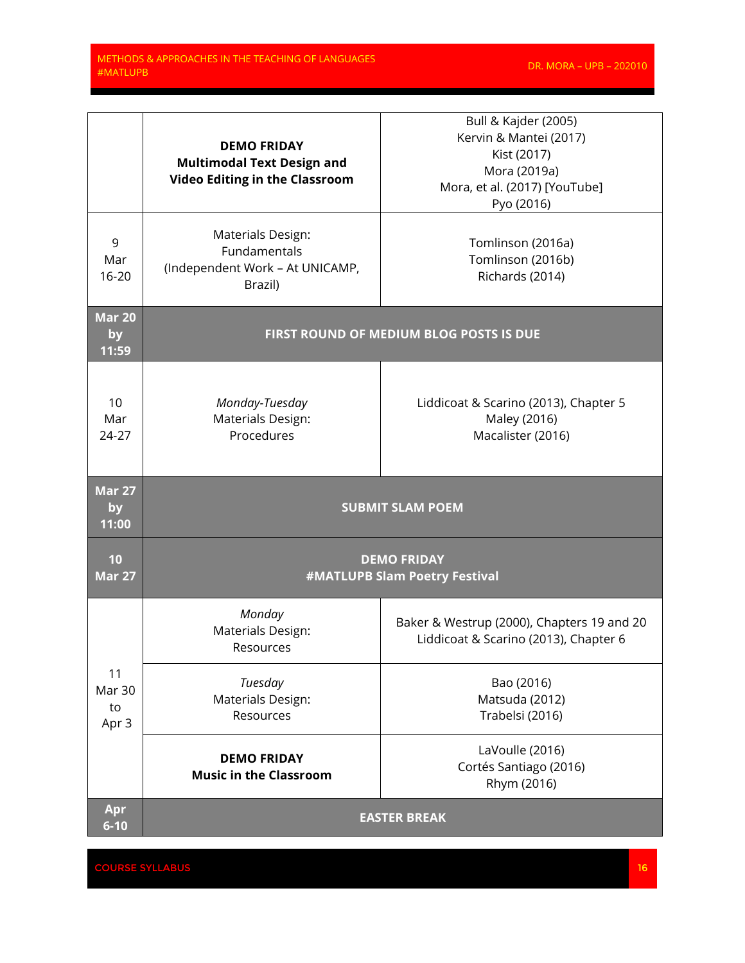<u>a sa sa</u>

|                                    | <b>DEMO FRIDAY</b><br><b>Multimodal Text Design and</b><br><b>Video Editing in the Classroom</b> | Bull & Kajder (2005)<br>Kervin & Mantei (2017)<br>Kist (2017)<br>Mora (2019a)<br>Mora, et al. (2017) [YouTube]<br>Pyo (2016) |
|------------------------------------|--------------------------------------------------------------------------------------------------|------------------------------------------------------------------------------------------------------------------------------|
| 9<br>Mar<br>$16 - 20$              | Materials Design:<br>Fundamentals<br>(Independent Work - At UNICAMP,<br>Brazil)                  | Tomlinson (2016a)<br>Tomlinson (2016b)<br>Richards (2014)                                                                    |
| <b>Mar 20</b><br>by<br>11:59       |                                                                                                  | FIRST ROUND OF MEDIUM BLOG POSTS IS DUE                                                                                      |
| 10<br>Mar<br>24-27                 | Monday-Tuesday<br>Materials Design:<br>Procedures                                                | Liddicoat & Scarino (2013), Chapter 5<br>Maley (2016)<br>Macalister (2016)                                                   |
|                                    |                                                                                                  |                                                                                                                              |
| <b>Mar 27</b><br>by<br>11:00       |                                                                                                  | <b>SUBMIT SLAM POEM</b>                                                                                                      |
| 10<br><b>Mar 27</b>                |                                                                                                  | <b>DEMO FRIDAY</b><br>#MATLUPB Slam Poetry Festival                                                                          |
|                                    | Monday<br>Materials Design:<br>Resources                                                         | Baker & Westrup (2000), Chapters 19 and 20<br>Liddicoat & Scarino (2013), Chapter 6                                          |
| 11<br><b>Mar 30</b><br>to<br>Apr 3 | Tuesday<br>Materials Design:<br>Resources                                                        | Bao (2016)<br>Matsuda (2012)<br>Trabelsi (2016)                                                                              |
|                                    | <b>DEMO FRIDAY</b><br><b>Music in the Classroom</b>                                              | LaVoulle (2016)<br>Cortés Santiago (2016)<br>Rhym (2016)                                                                     |

en de la courant de la courant de la courant de la courant de la courant de la courant de la courant de la courant de la courant de la courant de la courant de la courant de la courant de la courant de la courant de la cou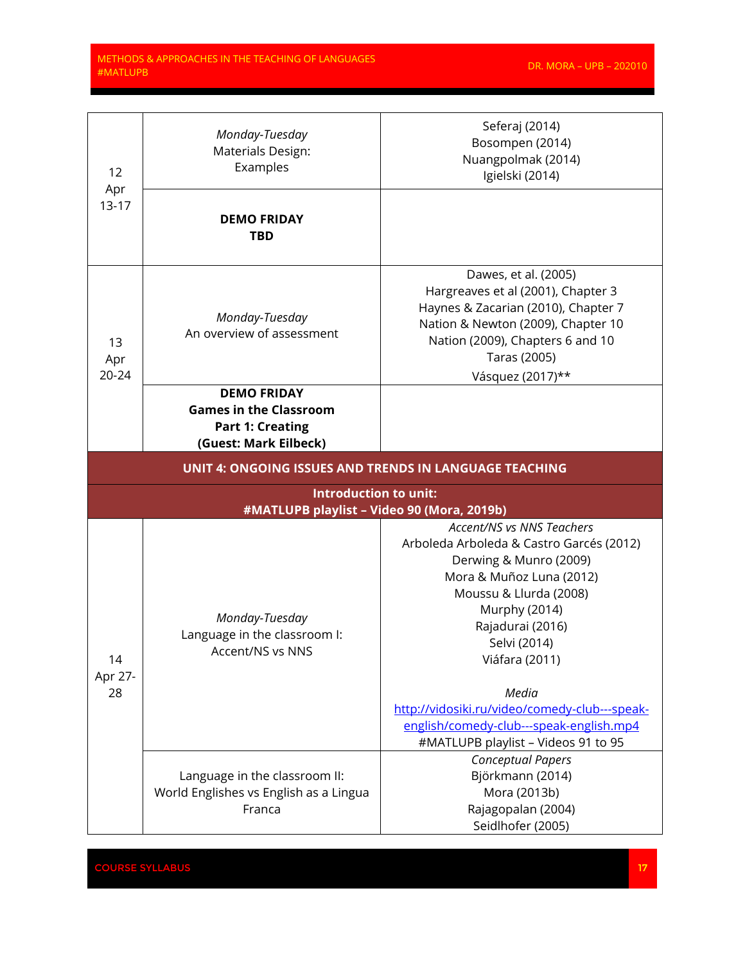<u> e de la provincia de la provincia de la provincia de la provincia de la provincia de la provincia de la provi</u>

| 12<br>Apr<br>$13 - 17$ | Monday-Tuesday<br>Materials Design:<br>Examples                                                         | Seferaj (2014)<br>Bosompen (2014)<br>Nuangpolmak (2014)<br>Igielski (2014)                                                                                                                                                                                                                                                               |  |
|------------------------|---------------------------------------------------------------------------------------------------------|------------------------------------------------------------------------------------------------------------------------------------------------------------------------------------------------------------------------------------------------------------------------------------------------------------------------------------------|--|
|                        | <b>DEMO FRIDAY</b><br><b>TBD</b>                                                                        |                                                                                                                                                                                                                                                                                                                                          |  |
| 13<br>Apr<br>$20 - 24$ | Monday-Tuesday<br>An overview of assessment                                                             | Dawes, et al. (2005)<br>Hargreaves et al (2001), Chapter 3<br>Haynes & Zacarian (2010), Chapter 7<br>Nation & Newton (2009), Chapter 10<br>Nation (2009), Chapters 6 and 10<br>Taras (2005)<br>Vásquez (2017)**                                                                                                                          |  |
|                        | <b>DEMO FRIDAY</b><br><b>Games in the Classroom</b><br><b>Part 1: Creating</b><br>(Guest: Mark Eilbeck) |                                                                                                                                                                                                                                                                                                                                          |  |
|                        | <b>UNIT 4: ONGOING ISSUES AND TRENDS IN LANGUAGE TEACHING</b>                                           |                                                                                                                                                                                                                                                                                                                                          |  |
|                        | <b>Introduction to unit:</b><br>#MATLUPB playlist - Video 90 (Mora, 2019b)                              |                                                                                                                                                                                                                                                                                                                                          |  |
| 14<br>Apr 27-<br>28    | Monday-Tuesday<br>Language in the classroom I:<br>Accent/NS vs NNS                                      | <b>Accent/NS vs NNS Teachers</b><br>Arboleda Arboleda & Castro Garcés (2012)<br>Derwing & Munro (2009)<br>Mora & Muñoz Luna (2012)<br>Moussu & Llurda (2008)<br>Murphy (2014)<br>Rajadurai (2016)<br>Selvi (2014)<br>Viáfara (2011)<br>Media<br>http://vidosiki.ru/video/comedy-club---speak-<br>english/comedy-club---speak-english.mp4 |  |
|                        | Language in the classroom II:<br>World Englishes vs English as a Lingua<br>Franca                       | #MATLUPB playlist - Videos 91 to 95<br><b>Conceptual Papers</b><br>Björkmann (2014)<br>Mora (2013b)<br>Rajagopalan (2004)                                                                                                                                                                                                                |  |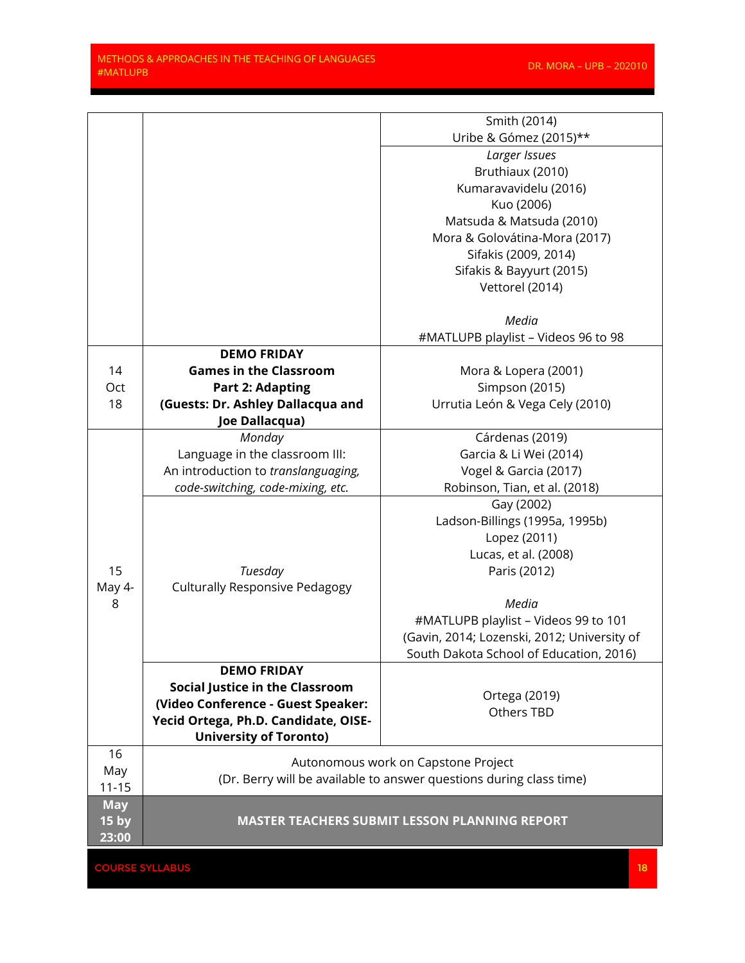<u>e de la p</u>

|                  |                                                                     | Smith (2014)                                         |
|------------------|---------------------------------------------------------------------|------------------------------------------------------|
|                  |                                                                     | Uribe & Gómez (2015)**                               |
|                  |                                                                     | Larger Issues                                        |
|                  |                                                                     | Bruthiaux (2010)                                     |
|                  |                                                                     | Kumaravavidelu (2016)                                |
|                  |                                                                     | Kuo (2006)                                           |
|                  |                                                                     | Matsuda & Matsuda (2010)                             |
|                  |                                                                     | Mora & Golovátina-Mora (2017)                        |
|                  |                                                                     | Sifakis (2009, 2014)                                 |
|                  |                                                                     | Sifakis & Bayyurt (2015)                             |
|                  |                                                                     | Vettorel (2014)                                      |
|                  |                                                                     |                                                      |
|                  |                                                                     | Media                                                |
|                  |                                                                     | #MATLUPB playlist - Videos 96 to 98                  |
|                  | <b>DEMO FRIDAY</b>                                                  |                                                      |
| 14               | <b>Games in the Classroom</b>                                       | Mora & Lopera (2001)                                 |
| Oct              | <b>Part 2: Adapting</b>                                             | Simpson (2015)                                       |
| 18               | (Guests: Dr. Ashley Dallacqua and                                   | Urrutia León & Vega Cely (2010)                      |
|                  | Joe Dallacqua)                                                      |                                                      |
|                  | Monday                                                              | Cárdenas (2019)                                      |
|                  | Language in the classroom III:                                      | Garcia & Li Wei (2014)                               |
|                  | An introduction to translanguaging,                                 | Vogel & Garcia (2017)                                |
|                  | code-switching, code-mixing, etc.                                   | Robinson, Tian, et al. (2018)                        |
|                  |                                                                     | Gay (2002)                                           |
|                  |                                                                     | Ladson-Billings (1995a, 1995b)                       |
|                  |                                                                     | Lopez (2011)                                         |
|                  |                                                                     | Lucas, et al. (2008)                                 |
| 15               | Tuesday                                                             | Paris (2012)                                         |
| May 4-           | <b>Culturally Responsive Pedagogy</b>                               |                                                      |
| 8                |                                                                     | Media                                                |
|                  |                                                                     | #MATLUPB playlist - Videos 99 to 101                 |
|                  |                                                                     | (Gavin, 2014; Lozenski, 2012; University of          |
|                  | <b>DEMO FRIDAY</b>                                                  | South Dakota School of Education, 2016)              |
|                  | <b>Social Justice in the Classroom</b>                              |                                                      |
|                  | (Video Conference - Guest Speaker:                                  | Ortega (2019)                                        |
|                  | Yecid Ortega, Ph.D. Candidate, OISE-                                | Others TBD                                           |
|                  | <b>University of Toronto)</b>                                       |                                                      |
| 16               |                                                                     |                                                      |
| May              | Autonomous work on Capstone Project                                 |                                                      |
| $11 - 15$        | (Dr. Berry will be available to answer questions during class time) |                                                      |
| <b>May</b>       |                                                                     |                                                      |
| 15 <sub>by</sub> |                                                                     | <b>MASTER TEACHERS SUBMIT LESSON PLANNING REPORT</b> |
| 23:00            |                                                                     |                                                      |

en de la courant de la courant de la courant de la courant de la courant de la courant de la courant de la courant de la courant de la courant de la courant de la courant de la courant de la courant de la courant de la co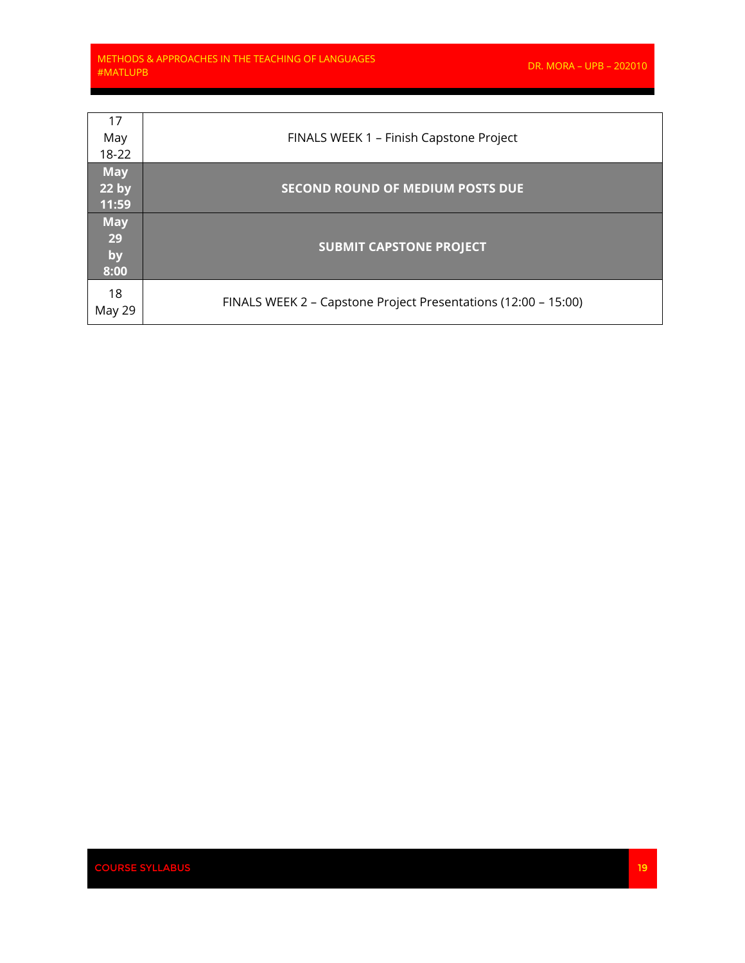and the control of

| 17<br>May<br>18-22                      | FINALS WEEK 1 - Finish Capstone Project                        |
|-----------------------------------------|----------------------------------------------------------------|
| <b>May</b><br>22 <sub>by</sub><br>11:59 | <b>SECOND ROUND OF MEDIUM POSTS DUE</b>                        |
| <b>May</b><br>29<br>by<br>8:00          | <b>SUBMIT CAPSTONE PROJECT</b>                                 |
| 18<br>May 29                            | FINALS WEEK 2 – Capstone Project Presentations (12:00 – 15:00) |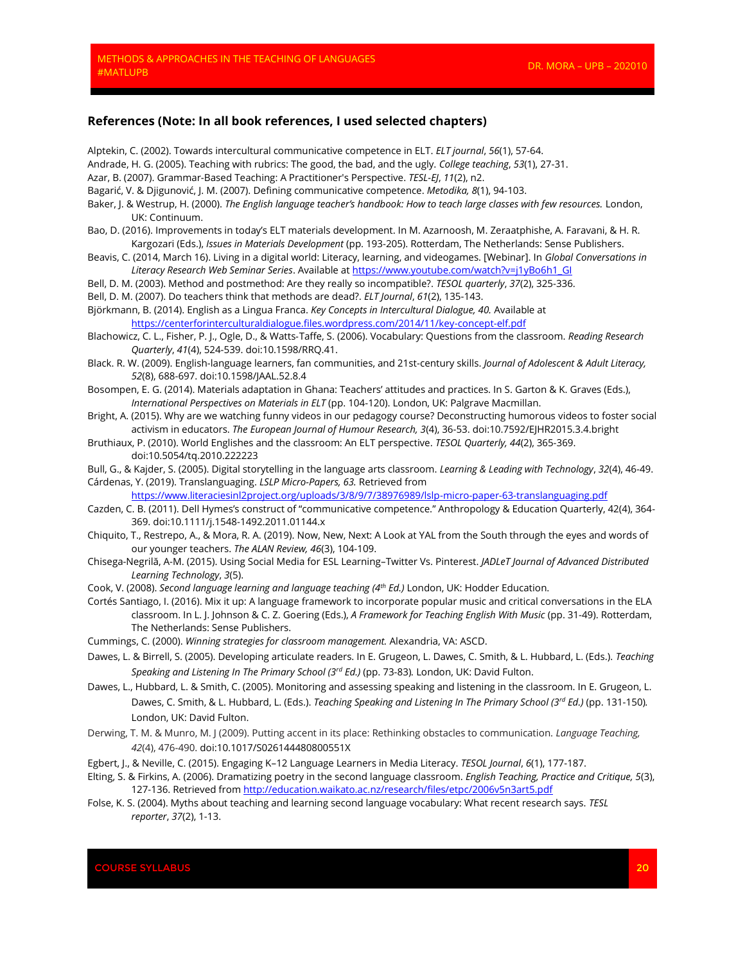#### **References (Note: In all book references, I used selected chapters)**

Alptekin, C. (2002). Towards intercultural communicative competence in ELT. *ELT journal*, *56*(1), 57-64. Andrade, H. G. (2005). Teaching with rubrics: The good, the bad, and the ugly. *College teaching*, *53*(1), 27-31. Azar, B. (2007). Grammar-Based Teaching: A Practitioner's Perspective. *TESL-EJ*, *11*(2), n2. Bagarić, V. & Djigunović, J. M. (2007). Defining communicative competence. *Metodika, 8*(1), 94-103. Baker, J. & Westrup, H. (2000). *The English language teacher's handbook: How to teach large classes with few resources.* London, UK: Continuum. Bao, D. (2016). Improvements in today's ELT materials development. In M. Azarnoosh, M. Zeraatphishe, A. Faravani, & H. R. Kargozari (Eds.), *Issues in Materials Development* (pp. 193-205). Rotterdam, The Netherlands: Sense Publishers. Beavis, C. (2014, March 16). Living in a digital world: Literacy, learning, and videogames. [Webinar]. In *Global Conversations in Literacy Research Web Seminar Series*. Available at [https://www.youtube.com/watch?v=j1yBo6h1\\_GI](https://www.youtube.com/watch?v=j1yBo6h1_GI) Bell, D. M. (2003). Method and postmethod: Are they really so incompatible?. *TESOL quarterly*, *37*(2), 325-336. Bell, D. M. (2007). Do teachers think that methods are dead?. *ELT Journal*, *61*(2), 135-143. Björkmann, B. (2014). English as a Lingua Franca. *Key Concepts in Intercultural Dialogue, 40.* Available at <https://centerforinterculturaldialogue.files.wordpress.com/2014/11/key-concept-elf.pdf> Blachowicz, C. L., Fisher, P. J., Ogle, D., & Watts‐Taffe, S. (2006). Vocabulary: Questions from the classroom. *Reading Research Quarterly*, *41*(4), 524-539. doi:10.1598/RRQ.41. Black. R. W. (2009). English-language learners, fan communities, and 21st-century skills. *Journal of Adolescent & Adult Literacy, 52*(8), 688-697. doi:10.1598/JAAL.52.8.4 Bosompen, E. G. (2014). Materials adaptation in Ghana: Teachers' attitudes and practices. In S. Garton & K. Graves (Eds.), *International Perspectives on Materials in ELT* (pp. 104-120). London, UK: Palgrave Macmillan. Bright, A. (2015). Why are we watching funny videos in our pedagogy course? Deconstructing humorous videos to foster social activism in educators. *The European Journal of Humour Research, 3*(4), 36-53. doi:10.7592/EJHR2015.3.4.bright Bruthiaux, P. (2010). World Englishes and the classroom: An ELT perspective. *TESOL Quarterly, 44*(2), 365-369. doi:10.5054/tq.2010.222223 Bull, G., & Kajder, S. (2005). Digital storytelling in the language arts classroom. *Learning & Leading with Technology*, *32*(4), 46-49. Cárdenas, Y. (2019). Translanguaging. *LSLP Micro-Papers, 63.* Retrieved from <https://www.literaciesinl2project.org/uploads/3/8/9/7/38976989/lslp-micro-paper-63-translanguaging.pdf> Cazden, C. B. (2011). Dell Hymes's construct of "communicative competence." Anthropology & Education Quarterly, 42(4), 364- 369. doi:10.1111/j.1548-1492.2011.01144.x Chiquito, T., Restrepo, A., & Mora, R. A. (2019). Now, New, Next: A Look at YAL from the South through the eyes and words of our younger teachers. *The ALAN Review, 46*(3), 104-109. Chisega-Negrilă, A-M. (2015). Using Social Media for ESL Learning–Twitter Vs. Pinterest. *JADLeT Journal of Advanced Distributed Learning Technology*, *3*(5). Cook, V. (2008). *Second language learning and language teaching (4th Ed.)* London, UK: Hodder Education. Cortés Santiago, I. (2016). Mix it up: A language framework to incorporate popular music and critical conversations in the ELA classroom. In L. J. Johnson & C. Z. Goering (Eds.), *A Framework for Teaching English With Music* (pp. 31-49). Rotterdam, The Netherlands: Sense Publishers. Cummings, C. (2000). *Winning strategies for classroom management.* Alexandria, VA: ASCD.

- Dawes, L. & Birrell, S. (2005). Developing articulate readers. In E. Grugeon, L. Dawes, C. Smith, & L. Hubbard, L. (Eds.). *Teaching Speaking and Listening In The Primary School (3rd Ed.)* (pp. 73-83)*.* London, UK: David Fulton.
- Dawes, L., Hubbard, L. & Smith, C. (2005). Monitoring and assessing speaking and listening in the classroom. In E. Grugeon, L. Dawes, C. Smith, & L. Hubbard, L. (Eds.). *Teaching Speaking and Listening In The Primary School (3rd Ed.)* (pp. 131-150)*.*  London, UK: David Fulton.
- Derwing, T. M. & Munro, M. J (2009). Putting accent in its place: Rethinking obstacles to communication. *Language Teaching, 42*(4), 476-490. doi:10.1017/S026144480800551X
- Egbert, J., & Neville, C. (2015). Engaging K–12 Language Learners in Media Literacy. *TESOL Journal*, *6*(1), 177-187.
- Elting, S. & Firkins, A. (2006). Dramatizing poetry in the second language classroom. *English Teaching, Practice and Critique, 5*(3), 127-136. Retrieved fro[m http://education.waikato.ac.nz/research/files/etpc/2006v5n3art5.pdf](http://education.waikato.ac.nz/research/files/etpc/2006v5n3art5.pdf)
- Folse, K. S. (2004). Myths about teaching and learning second language vocabulary: What recent research says. *TESL reporter*, *37*(2), 1-13.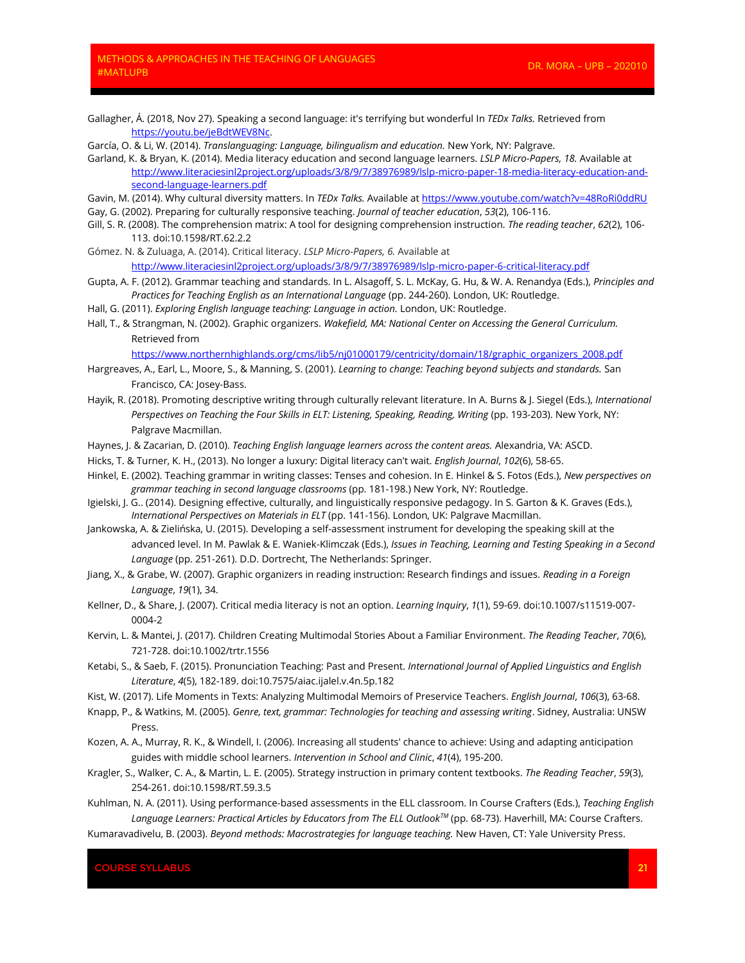Gallagher, Á. (2018, Nov 27). Speaking a second language: it's terrifying but wonderful In *TEDx Talks.* Retrieved from [https://youtu.be/jeBdtWEV8Nc.](https://youtu.be/jeBdtWEV8Nc) 

García, O. & Li, W. (2014). *Translanguaging: Language, bilingualism and education*. New York, NY: Palgrave.

Garland, K. & Bryan, K. (2014). Media literacy education and second language learners. *LSLP Micro-Papers, 18.* Available at [http://www.literaciesinl2project.org/uploads/3/8/9/7/38976989/lslp-micro-paper-18-media-literacy-education-and](http://www.literaciesinl2project.org/uploads/3/8/9/7/38976989/lslp-micro-paper-18-media-literacy-education-and-second-language-learners.pdf)[second-language-learners.pdf](http://www.literaciesinl2project.org/uploads/3/8/9/7/38976989/lslp-micro-paper-18-media-literacy-education-and-second-language-learners.pdf)

Gavin, M. (2014). Why cultural diversity matters. In *TEDx Talks.* Available at<https://www.youtube.com/watch?v=48RoRi0ddRU> Gay, G. (2002). Preparing for culturally responsive teaching. *Journal of teacher education*, *53*(2), 106-116.

- Gill, S. R. (2008). The comprehension matrix: A tool for designing comprehension instruction. *The reading teacher*, *62*(2), 106- 113. doi:10.1598/RT.62.2.2
- Gómez. N. & Zuluaga, A. (2014). Critical literacy. *LSLP Micro-Papers, 6.* Available at <http://www.literaciesinl2project.org/uploads/3/8/9/7/38976989/lslp-micro-paper-6-critical-literacy.pdf>
- Gupta, A. F. (2012). Grammar teaching and standards. In L. Alsagoff, S. L. McKay, G. Hu, & W. A. Renandya (Eds.), *Principles and Practices for Teaching English as an International Language* (pp. 244-260). London, UK: Routledge.
- Hall, G. (2011). *Exploring English language teaching: Language in action*. London, UK: Routledge.
- Hall, T., & Strangman, N. (2002). Graphic organizers. *Wakefield, MA: National Center on Accessing the General Curriculum.*  Retrieved from

[https://www.northernhighlands.org/cms/lib5/nj01000179/centricity/domain/18/graphic\\_organizers\\_2008.pdf](https://www.northernhighlands.org/cms/lib5/nj01000179/centricity/domain/18/graphic_organizers_2008.pdf)

- Hargreaves, A., Earl, L., Moore, S., & Manning, S. (2001). *Learning to change: Teaching beyond subjects and standards.* San Francisco, CA: Josey-Bass.
- Hayik, R. (2018). Promoting descriptive writing through culturally relevant literature. In A. Burns & J. Siegel (Eds.), *International*  Perspectives on Teaching the Four Skills in ELT: Listening, Speaking, Reading, Writing (pp. 193-203). New York, NY: Palgrave Macmillan.
- Haynes, J. & Zacarian, D. (2010). *Teaching English language learners across the content areas.* Alexandria, VA: ASCD.
- Hicks, T. & Turner, K. H., (2013). No longer a luxury: Digital literacy can't wait. *English Journal*, *102*(6), 58-65.
- Hinkel, E. (2002). Teaching grammar in writing classes: Tenses and cohesion. In E. Hinkel & S. Fotos (Eds.), *New perspectives on grammar teaching in second language classrooms* (pp. 181-198.) New York, NY: Routledge.
- Igielski, J. G.. (2014). Designing effective, culturally, and linguistically responsive pedagogy. In S. Garton & K. Graves (Eds.), *International Perspectives on Materials in ELT* (pp. 141-156). London, UK: Palgrave Macmillan.
- Jankowska, A. & Zielińska, U. (2015). Developing a self-assessment instrument for developing the speaking skill at the advanced level. In M. Pawlak & E. Waniek-Klimczak (Eds.), *Issues in Teaching, Learning and Testing Speaking in a Second Language* (pp. 251-261). D.D. Dortrecht, The Netherlands: Springer.
- Jiang, X., & Grabe, W. (2007). Graphic organizers in reading instruction: Research findings and issues. *Reading in a Foreign Language*, *19*(1), 34.
- Kellner, D., & Share, J. (2007). Critical media literacy is not an option. *Learning Inquiry*, *1*(1), 59-69. doi:10.1007/s11519-007- 0004-2
- Kervin, L. & Mantei, J. (2017). Children Creating Multimodal Stories About a Familiar Environment. *The Reading Teacher*, *70*(6), 721-728. doi:10.1002/trtr.1556
- Ketabi, S., & Saeb, F. (2015). Pronunciation Teaching: Past and Present. *International Journal of Applied Linguistics and English Literature*, *4*(5), 182-189. doi:10.7575/aiac.ijalel.v.4n.5p.182
- Kist, W. (2017). Life Moments in Texts: Analyzing Multimodal Memoirs of Preservice Teachers. *English Journal*, *106*(3), 63-68.
- Knapp, P., & Watkins, M. (2005). *Genre, text, grammar: Technologies for teaching and assessing writing*. Sidney, Australia: UNSW Press.
- Kozen, A. A., Murray, R. K., & Windell, I. (2006). Increasing all students' chance to achieve: Using and adapting anticipation guides with middle school learners. *Intervention in School and Clinic*, *41*(4), 195-200.
- Kragler, S., Walker, C. A., & Martin, L. E. (2005). Strategy instruction in primary content textbooks. *The Reading Teacher*, *59*(3), 254-261. doi:10.1598/RT.59.3.5
- Kuhlman, N. A. (2011). Using performance-based assessments in the ELL classroom. In Course Crafters (Eds.), *Teaching English Language Learners: Practical Articles by Educators from The ELL OutlookTM* (pp. 68-73). Haverhill, MA: Course Crafters.

Kumaravadivelu, B. (2003). *Beyond methods: Macrostrategies for language teaching.* New Haven, CT: Yale University Press.

**COURSE SYLLABUS** 21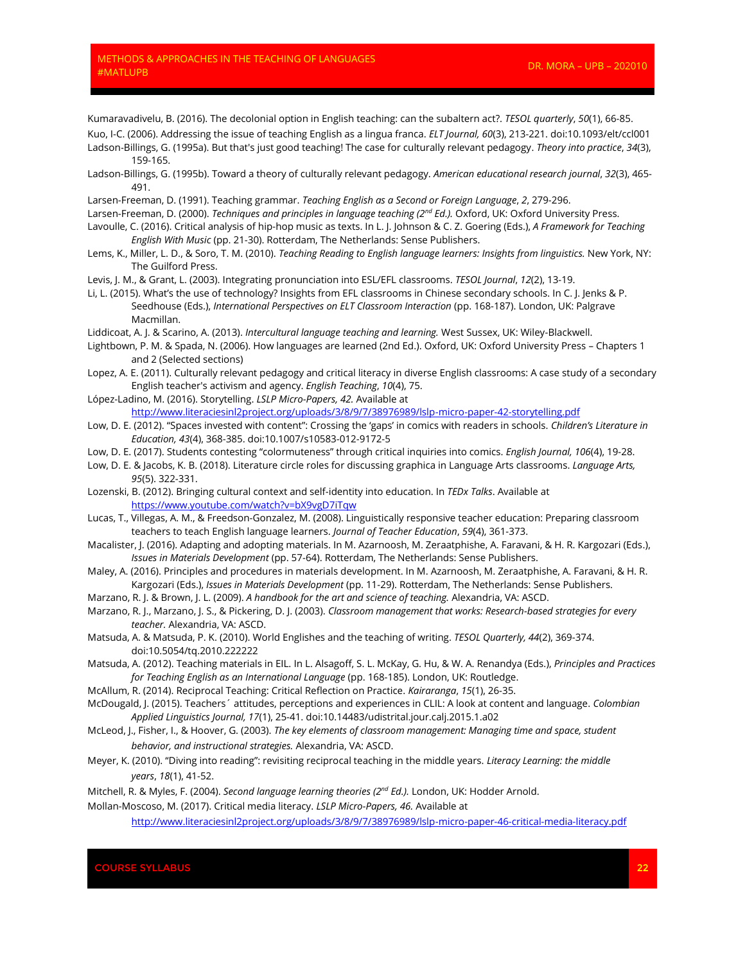Kumaravadivelu, B. (2016). The decolonial option in English teaching: can the subaltern act?. *TESOL quarterly*, *50*(1), 66-85.

- Kuo, I-C. (2006). Addressing the issue of teaching English as a lingua franca. *ELT Journal, 60*(3), 213-221. doi:10.1093/elt/ccl001 Ladson‐Billings, G. (1995a). But that's just good teaching! The case for culturally relevant pedagogy. *Theory into practice*, *34*(3), 159-165.
- Ladson-Billings, G. (1995b). Toward a theory of culturally relevant pedagogy. *American educational research journal*, *32*(3), 465- 491.
- Larsen-Freeman, D. (1991). Teaching grammar. *Teaching English as a Second or Foreign Language*, *2*, 279-296.
- Larsen-Freeman, D. (2000). *Techniques and principles in language teaching (2<sup>nd</sup> Ed.)*. Oxford, UK: Oxford University Press.
- Lavoulle, C. (2016). Critical analysis of hip-hop music as texts. In L. J. Johnson & C. Z. Goering (Eds.), *A Framework for Teaching English With Music* (pp. 21-30). Rotterdam, The Netherlands: Sense Publishers.
- Lems, K., Miller, L. D., & Soro, T. M. (2010). *Teaching Reading to English language learners: Insights from linguistics.* New York, NY: The Guilford Press.
- Levis, J. M., & Grant, L. (2003). Integrating pronunciation into ESL/EFL classrooms. *TESOL Journal*, *12*(2), 13-19.
- Li, L. (2015). What's the use of technology? Insights from EFL classrooms in Chinese secondary schools. In C. J. Jenks & P. Seedhouse (Eds.), *International Perspectives on ELT Classroom Interaction* (pp. 168-187). London, UK: Palgrave Macmillan.

Liddicoat, A. J. & Scarino, A. (2013). *Intercultural language teaching and learning.* West Sussex, UK: Wiley-Blackwell.

- Lightbown, P. M. & Spada, N. (2006). How languages are learned (2nd Ed.). Oxford, UK: Oxford University Press Chapters 1 and 2 (Selected sections)
- Lopez, A. E. (2011). Culturally relevant pedagogy and critical literacy in diverse English classrooms: A case study of a secondary English teacher's activism and agency. *English Teaching*, *10*(4), 75.
- López-Ladino, M. (2016). Storytelling. *LSLP Micro-Papers, 42.* Available at <http://www.literaciesinl2project.org/uploads/3/8/9/7/38976989/lslp-micro-paper-42-storytelling.pdf>
- Low, D. E. (2012). "Spaces invested with content": Crossing the 'gaps' in comics with readers in schools. *Children's Literature in Education, 43*(4), 368-385. doi:10.1007/s10583-012-9172-5
- Low, D. E. (2017). Students contesting "colormuteness" through critical inquiries into comics. *English Journal, 106*(4), 19-28.
- Low, D. E. & Jacobs, K. B. (2018). Literature circle roles for discussing graphica in Language Arts classrooms. *Language Arts, 95*(5). 322-331.
- Lozenski, B. (2012). Bringing cultural context and self-identity into education. In *TEDx Talks*. Available at <https://www.youtube.com/watch?v=bX9vgD7iTqw>
- Lucas, T., Villegas, A. M., & Freedson-Gonzalez, M. (2008). Linguistically responsive teacher education: Preparing classroom teachers to teach English language learners. *Journal of Teacher Education*, *59*(4), 361-373.
- Macalister, J. (2016). Adapting and adopting materials. In M. Azarnoosh, M. Zeraatphishe, A. Faravani, & H. R. Kargozari (Eds.), *Issues in Materials Development* (pp. 57-64). Rotterdam, The Netherlands: Sense Publishers.
- Maley, A. (2016). Principles and procedures in materials development. In M. Azarnoosh, M. Zeraatphishe, A. Faravani, & H. R. Kargozari (Eds.), *Issues in Materials Development* (pp. 11-29). Rotterdam, The Netherlands: Sense Publishers.
- Marzano, R. J. & Brown, J. L. (2009). *A handbook for the art and science of teaching.* Alexandria, VA: ASCD.
- Marzano, R. J., Marzano, J. S., & Pickering, D. J. (2003). *Classroom management that works: Research-based strategies for every teacher.* Alexandria, VA: ASCD.
- Matsuda, A. & Matsuda, P. K. (2010). World Englishes and the teaching of writing. *TESOL Quarterly, 44*(2), 369-374. doi:10.5054/tq.2010.222222
- Matsuda, A. (2012). Teaching materials in EIL. In L. Alsagoff, S. L. McKay, G. Hu, & W. A. Renandya (Eds.), *Principles and Practices for Teaching English as an International Language* (pp. 168-185). London, UK: Routledge.
- McAllum, R. (2014). Reciprocal Teaching: Critical Reflection on Practice. *Kairaranga*, *15*(1), 26-35.
- McDougald, J. (2015). Teachers´ attitudes, perceptions and experiences in CLIL: A look at content and language. *Colombian Applied Linguistics Journal, 17*(1), 25-41. doi:10.14483/udistrital.jour.calj.2015.1.a02
- McLeod, J., Fisher, I., & Hoover, G. (2003). *The key elements of classroom management: Managing time and space, student behavior, and instructional strategies.* Alexandria, VA: ASCD.
- Meyer, K. (2010). "Diving into reading": revisiting reciprocal teaching in the middle years. *Literacy Learning: the middle years*, *18*(1), 41-52.
- Mitchell, R. & Myles, F. (2004). *Second language learning theories (2nd Ed.).* London, UK: Hodder Arnold.

Mollan-Moscoso, M. (2017). Critical media literacy. *LSLP Micro-Papers, 46.* Available at

<http://www.literaciesinl2project.org/uploads/3/8/9/7/38976989/lslp-micro-paper-46-critical-media-literacy.pdf>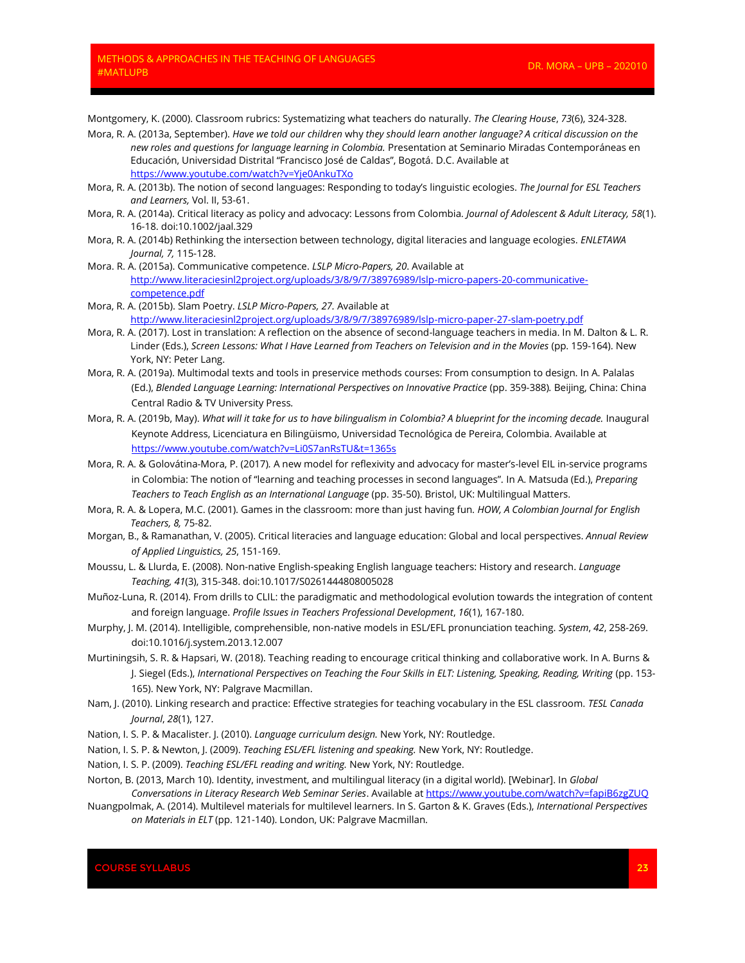Montgomery, K. (2000). Classroom rubrics: Systematizing what teachers do naturally. *The Clearing House*, *73*(6), 324-328.

- Mora, R. A. (2013a, September). *Have we told our children* why *they should learn another language? A critical discussion on the new roles and questions for language learning in Colombia.* Presentation at Seminario Miradas Contemporáneas en Educación, Universidad Distrital "Francisco José de Caldas", Bogotá. D.C. Available at <https://www.youtube.com/watch?v=Yje0AnkuTXo>
- Mora, R. A. (2013b). The notion of second languages: Responding to today's linguistic ecologies. *The Journal for ESL Teachers and Learners,* Vol. II, 53-61.
- Mora, R. A. (2014a). Critical literacy as policy and advocacy: Lessons from Colombia. *Journal of Adolescent & Adult Literacy, 58*(1). 16-18. doi:10.1002/jaal.329
- Mora, R. A. (2014b) Rethinking the intersection between technology, digital literacies and language ecologies. *ENLETAWA Journal, 7,* 115-128.
- Mora. R. A. (2015a). Communicative competence. *LSLP Micro-Papers, 20*. Available at [http://www.literaciesinl2project.org/uploads/3/8/9/7/38976989/lslp-micro-papers-20-communicative](http://www.literaciesinl2project.org/uploads/3/8/9/7/38976989/lslp-micro-papers-20-communicative-competence.pdf)[competence.pdf](http://www.literaciesinl2project.org/uploads/3/8/9/7/38976989/lslp-micro-papers-20-communicative-competence.pdf)
- Mora, R. A. (2015b). Slam Poetry. *LSLP Micro-Papers, 27.* Available at <http://www.literaciesinl2project.org/uploads/3/8/9/7/38976989/lslp-micro-paper-27-slam-poetry.pdf>
- Mora, R. A. (2017). Lost in translation: A reflection on the absence of second-language teachers in media. In M. Dalton & L. R. Linder (Eds.), *Screen Lessons: What I Have Learned from Teachers on Television and in the Movies* (pp. 159-164). New York, NY: Peter Lang.
- Mora, R. A. (2019a). Multimodal texts and tools in preservice methods courses: From consumption to design. In A. Palalas (Ed.), *Blended Language Learning: International Perspectives on Innovative Practice* (pp. 359-388)*.* Beijing, China: China Central Radio & TV University Press*.*
- Mora, R. A. (2019b, May). *What will it take for us to have bilingualism in Colombia? A blueprint for the incoming decade.* Inaugural Keynote Address, Licenciatura en Bilingüismo, Universidad Tecnológica de Pereira, Colombia. Available at <https://www.youtube.com/watch?v=Li0S7anRsTU&t=1365s>
- Mora, R. A. & Golovátina-Mora, P. (2017)*.* A new model for reflexivity and advocacy for master's-level EIL in-service programs in Colombia: The notion of "learning and teaching processes in second languages"*.* In A. Matsuda (Ed.), *Preparing Teachers to Teach English as an International Language* (pp. 35-50). Bristol, UK: Multilingual Matters.
- Mora, R. A. & Lopera, M.C. (2001). Games in the classroom: more than just having fun. *HOW, A Colombian Journal for English Teachers, 8,* 75-82.
- Morgan, B., & Ramanathan, V. (2005). Critical literacies and language education: Global and local perspectives. *Annual Review of Applied Linguistics, 25*, 151-169.
- Moussu, L. & Llurda, E. (2008). Non-native English-speaking English language teachers: History and research. *Language Teaching, 41*(3), 315-348. doi:10.1017/S0261444808005028
- Muñoz-Luna, R. (2014). From drills to CLIL: the paradigmatic and methodological evolution towards the integration of content and foreign language. *Profile Issues in Teachers Professional Development*, *16*(1), 167-180.
- Murphy, J. M. (2014). Intelligible, comprehensible, non-native models in ESL/EFL pronunciation teaching. *System*, *42*, 258-269. doi:10.1016/j.system.2013.12.007
- Murtiningsih, S. R. & Hapsari, W. (2018). Teaching reading to encourage critical thinking and collaborative work. In A. Burns & J. Siegel (Eds.), International Perspectives on Teaching the Four Skills in ELT: Listening, Speaking, Reading, Writing (pp. 153-165). New York, NY: Palgrave Macmillan.
- Nam, J. (2010). Linking research and practice: Effective strategies for teaching vocabulary in the ESL classroom. *TESL Canada Journal*, *28*(1), 127.
- Nation, I. S. P. & Macalister. J. (2010). *Language curriculum design.* New York, NY: Routledge.
- Nation, I. S. P. & Newton, J. (2009). *Teaching ESL/EFL listening and speaking.* New York, NY: Routledge.
- Nation, I. S. P. (2009). *Teaching ESL/EFL reading and writing.* New York, NY: Routledge.
- Norton, B. (2013, March 10). Identity, investment, and multilingual literacy (in a digital world). [Webinar]. In *Global Conversations in Literacy Research Web Seminar Series*. Available a[t https://www.youtube.com/watch?v=fapiB6zgZUQ](https://www.youtube.com/watch?v=fapiB6zgZUQ)
- Nuangpolmak, A. (2014). Multilevel materials for multilevel learners. In S. Garton & K. Graves (Eds.), *International Perspectives on Materials in ELT* (pp. 121-140). London, UK: Palgrave Macmillan.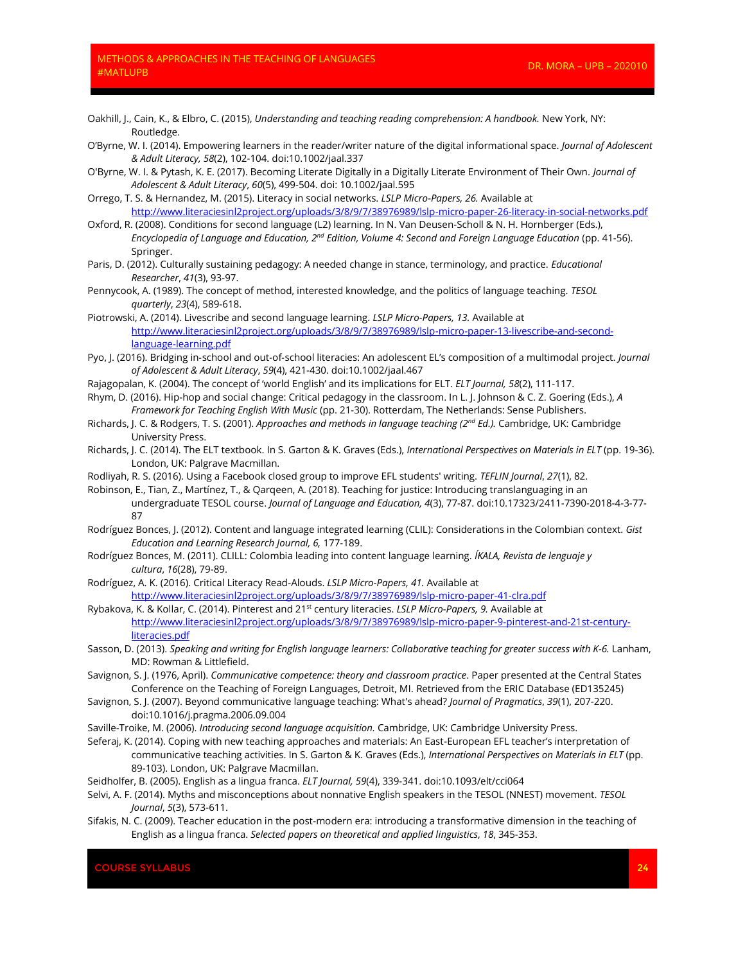- Oakhill, J., Cain, K., & Elbro, C. (2015), *Understanding and teaching reading comprehension: A handbook.* New York, NY: Routledge.
- O'Byrne, W. I. (2014). Empowering learners in the reader/writer nature of the digital informational space. *Journal of Adolescent & Adult Literacy, 58*(2), 102-104. doi:10.1002/jaal.337
- O'Byrne, W. I. & Pytash, K. E. (2017). Becoming Literate Digitally in a Digitally Literate Environment of Their Own. *Journal of Adolescent & Adult Literacy*, *60*(5), 499-504. doi: 10.1002/jaal.595
- Orrego, T. S. & Hernandez, M. (2015). Literacy in social networks. *LSLP Micro-Papers, 26.* Available at <http://www.literaciesinl2project.org/uploads/3/8/9/7/38976989/lslp-micro-paper-26-literacy-in-social-networks.pdf>
- Oxford, R. (2008). Conditions for second language (L2) learning. In N. Van Deusen-Scholl & N. H. Hornberger (Eds.), *Encyclopedia of Language and Education, 2nd Edition, Volume 4: Second and Foreign Language Education* (pp. 41-56). Springer.
- Paris, D. (2012). Culturally sustaining pedagogy: A needed change in stance, terminology, and practice. *Educational Researcher*, *41*(3), 93-97.
- Pennycook, A. (1989). The concept of method, interested knowledge, and the politics of language teaching. *TESOL quarterly*, *23*(4), 589-618.
- Piotrowski, A. (2014). Livescribe and second language learning. *LSLP Micro-Papers, 13.* Available at [http://www.literaciesinl2project.org/uploads/3/8/9/7/38976989/lslp-micro-paper-13-livescribe-and-second](http://www.literaciesinl2project.org/uploads/3/8/9/7/38976989/lslp-micro-paper-13-livescribe-and-second-language-learning.pdf)[language-learning.pdf](http://www.literaciesinl2project.org/uploads/3/8/9/7/38976989/lslp-micro-paper-13-livescribe-and-second-language-learning.pdf)
- Pyo, J. (2016). Bridging in‐school and out‐of‐school literacies: An adolescent EL's composition of a multimodal project. *Journal of Adolescent & Adult Literacy*, *59*(4), 421-430. doi:10.1002/jaal.467
- Rajagopalan, K. (2004). The concept of 'world English' and its implications for ELT. *ELT Journal, 58*(2), 111-117.
- Rhym, D. (2016). Hip-hop and social change: Critical pedagogy in the classroom. In L. J. Johnson & C. Z. Goering (Eds.), *A Framework for Teaching English With Music* (pp. 21-30). Rotterdam, The Netherlands: Sense Publishers.
- Richards, J. C. & Rodgers, T. S. (2001). *Approaches and methods in language teaching (2nd Ed.).* Cambridge, UK: Cambridge University Press.
- Richards, J. C. (2014). The ELT textbook. In S. Garton & K. Graves (Eds.), *International Perspectives on Materials in ELT* (pp. 19-36). London, UK: Palgrave Macmillan.
- Rodliyah, R. S. (2016). Using a Facebook closed group to improve EFL students' writing. *TEFLIN Journal*, *27*(1), 82.
- Robinson, E., Tian, Z., Martínez, T., & Qarqeen, A. (2018). Teaching for justice: Introducing translanguaging in an undergraduate TESOL course. *Journal of Language and Education, 4*(3), 77-87. doi:10.17323/2411-7390-2018-4-3-77- 87
- Rodríguez Bonces, J. (2012). Content and language integrated learning (CLIL): Considerations in the Colombian context. *Gist Education and Learning Research Journal, 6,* 177-189.
- Rodríguez Bonces, M. (2011). CLILL: Colombia leading into content language learning. *ÍKALA, Revista de lenguaje y cultura*, *16*(28), 79-89.
- Rodríguez, A. K. (2016). Critical Literacy Read-Alouds. *LSLP Micro-Papers, 41.* Available at <http://www.literaciesinl2project.org/uploads/3/8/9/7/38976989/lslp-micro-paper-41-clra.pdf>
- Rybakova, K. & Kollar, C. (2014). Pinterest and 21st century literacies. *LSLP Micro-Papers, 9.* Available at [http://www.literaciesinl2project.org/uploads/3/8/9/7/38976989/lslp-micro-paper-9-pinterest-and-21st-century](http://www.literaciesinl2project.org/uploads/3/8/9/7/38976989/lslp-micro-paper-9-pinterest-and-21st-century-literacies.pdf)[literacies.pdf](http://www.literaciesinl2project.org/uploads/3/8/9/7/38976989/lslp-micro-paper-9-pinterest-and-21st-century-literacies.pdf)
- Sasson, D. (2013). *Speaking and writing for English language learners: Collaborative teaching for greater success with K-6.* Lanham, MD: Rowman & Littlefield.
- Savignon, S. J. (1976, April). *Communicative competence: theory and classroom practice*. Paper presented at the Central States Conference on the Teaching of Foreign Languages, Detroit, MI. Retrieved from the ERIC Database (ED135245)
- Savignon, S. J. (2007). Beyond communicative language teaching: What's ahead? *Journal of Pragmatics*, *39*(1), 207-220. doi:10.1016/j.pragma.2006.09.004
- Saville-Troike, M. (2006). *Introducing second language acquisition.* Cambridge, UK: Cambridge University Press.
- Seferaj, K. (2014). Coping with new teaching approaches and materials: An East-European EFL teacher's interpretation of communicative teaching activities. In S. Garton & K. Graves (Eds.), *International Perspectives on Materials in ELT* (pp. 89-103). London, UK: Palgrave Macmillan.
- Seidholfer, B. (2005). English as a lingua franca. *ELT Journal, 59*(4), 339-341. doi:10.1093/elt/cci064
- Selvi, A. F. (2014). Myths and misconceptions about nonnative English speakers in the TESOL (NNEST) movement. *TESOL Journal*, *5*(3), 573-611.
- Sifakis, N. C. (2009). Teacher education in the post-modern era: introducing a transformative dimension in the teaching of English as a lingua franca. *Selected papers on theoretical and applied linguistics*, *18*, 345-353.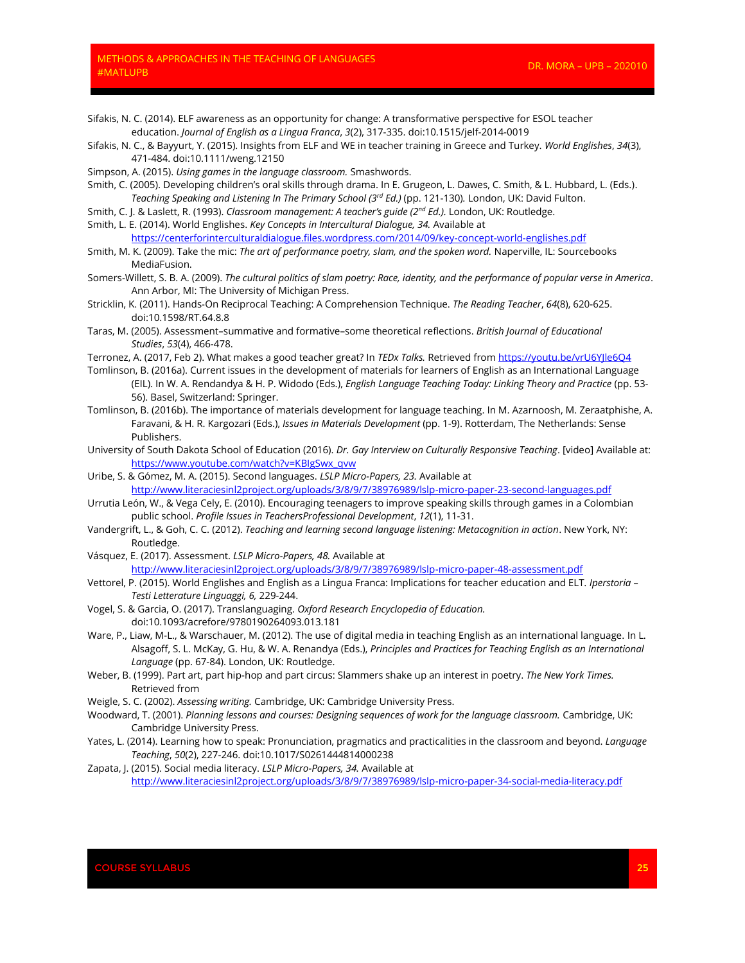Sifakis, N. C. (2014). ELF awareness as an opportunity for change: A transformative perspective for ESOL teacher education. *Journal of English as a Lingua Franca*, *3*(2), 317-335. doi:10.1515/jelf-2014-0019

- Sifakis, N. C., & Bayyurt, Y. (2015). Insights from ELF and WE in teacher training in Greece and Turkey. *World Englishes*, *34*(3), 471-484. doi:10.1111/weng.12150
- Simpson, A. (2015). *Using games in the language classroom.* Smashwords.
- Smith, C. (2005). Developing children's oral skills through drama. In E. Grugeon, L. Dawes, C. Smith, & L. Hubbard, L. (Eds.). *Teaching Speaking and Listening In The Primary School (3rd Ed.)* (pp. 121-130)*.* London, UK: David Fulton.
- Smith, C. J. & Laslett, R. (1993). *Classroom management: A teacher's guide (2nd Ed.).* London, UK: Routledge.
- Smith, L. E. (2014). World Englishes. *Key Concepts in Intercultural Dialogue, 34.* Available at <https://centerforinterculturaldialogue.files.wordpress.com/2014/09/key-concept-world-englishes.pdf>
- Smith, M. K. (2009). Take the mic: *The art of performance poetry, slam, and the spoken word.* Naperville, IL: Sourcebooks MediaFusion.
- Somers-Willett, S. B. A. (2009). *The cultural politics of slam poetry: Race, identity, and the performance of popular verse in America*. Ann Arbor, MI: The University of Michigan Press.
- Stricklin, K. (2011). Hands‐On Reciprocal Teaching: A Comprehension Technique. *The Reading Teacher*, *64*(8), 620-625. doi:10.1598/RT.64.8.8
- Taras, M. (2005). Assessment–summative and formative–some theoretical reflections. *British Journal of Educational Studies*, *53*(4), 466-478.
- Terronez, A. (2017, Feb 2). What makes a good teacher great? In *TEDx Talks.* Retrieved fro[m https://youtu.be/vrU6YJle6Q4](https://youtu.be/vrU6YJle6Q4)
- Tomlinson, B. (2016a). Current issues in the development of materials for learners of English as an International Language (EIL). In W. A. Rendandya & H. P. Widodo (Eds.), *English Language Teaching Today: Linking Theory and Practice* (pp. 53- 56). Basel, Switzerland: Springer.
- Tomlinson, B. (2016b). The importance of materials development for language teaching. In M. Azarnoosh, M. Zeraatphishe, A. Faravani, & H. R. Kargozari (Eds.), *Issues in Materials Development* (pp. 1-9). Rotterdam, The Netherlands: Sense Publishers.
- University of South Dakota School of Education (2016). *Dr. Gay Interview on Culturally Responsive Teaching*. [video] Available at: [https://www.youtube.com/watch?v=KBIgSwx\\_qvw](https://www.youtube.com/watch?v=KBIgSwx_qvw)
- Uribe, S. & Gómez, M. A. (2015). Second languages. *LSLP Micro-Papers, 23.* Available at <http://www.literaciesinl2project.org/uploads/3/8/9/7/38976989/lslp-micro-paper-23-second-languages.pdf>
- Urrutia León, W., & Vega Cely, E. (2010). Encouraging teenagers to improve speaking skills through games in a Colombian public school. *Profile Issues in TeachersProfessional Development*, *12*(1), 11-31.
- Vandergrift, L., & Goh, C. C. (2012). *Teaching and learning second language listening: Metacognition in action*. New York, NY: Routledge.
- Vásquez, E. (2017). Assessment. *LSLP Micro-Papers, 48.* Available at <http://www.literaciesinl2project.org/uploads/3/8/9/7/38976989/lslp-micro-paper-48-assessment.pdf>
- Vettorel, P. (2015). World Englishes and English as a Lingua Franca: Implications for teacher education and ELT. *Iperstoria – Testi Letterature Linguaggi, 6,* 229-244.
- Vogel, S. & Garcia, O. (2017). Translanguaging. *Oxford Research Encyclopedia of Education.*  doi:10.1093/acrefore/9780190264093.013.181
- Ware, P., Liaw, M-L., & Warschauer, M. (2012). The use of digital media in teaching English as an international language. In L. Alsagoff, S. L. McKay, G. Hu, & W. A. Renandya (Eds.), *Principles and Practices for Teaching English as an International Language* (pp. 67-84). London, UK: Routledge.
- Weber, B. (1999). Part art, part hip-hop and part circus: Slammers shake up an interest in poetry. *The New York Times.*  Retrieved from
- Weigle, S. C. (2002). *Assessing writing.* Cambridge, UK: Cambridge University Press.
- Woodward, T. (2001). *Planning lessons and courses: Designing sequences of work for the language classroom.* Cambridge, UK: Cambridge University Press.
- Yates, L. (2014). Learning how to speak: Pronunciation, pragmatics and practicalities in the classroom and beyond. *Language Teaching*, *50*(2), 227-246. doi:10.1017/S0261444814000238
- Zapata, J. (2015). Social media literacy. *LSLP Micro-Papers, 34.* Available at <http://www.literaciesinl2project.org/uploads/3/8/9/7/38976989/lslp-micro-paper-34-social-media-literacy.pdf>